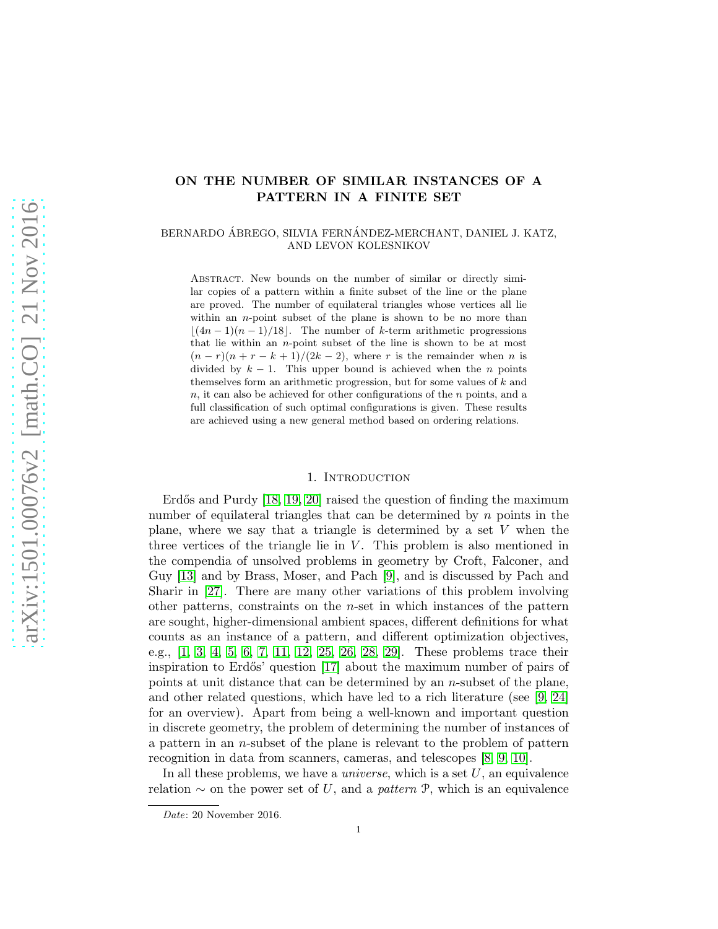# ON THE NUMBER OF SIMILAR INSTANCES OF A PATTERN IN A FINITE SET

BERNARDO ÁBREGO, SILVIA FERNÁNDEZ-MERCHANT, DANIEL J. KATZ, AND LEVON KOLESNIKOV

Abstract. New bounds on the number of similar or directly similar copies of a pattern within a finite subset of the line or the plane are proved. The number of equilateral triangles whose vertices all lie within an *n*-point subset of the plane is shown to be no more than  $|(4n-1)(n-1)/18|$ . The number of k-term arithmetic progressions that lie within an  $n$ -point subset of the line is shown to be at most  $(n - r)(n + r - k + 1)/(2k - 2)$ , where r is the remainder when n is divided by  $k - 1$ . This upper bound is achieved when the *n* points themselves form an arithmetic progression, but for some values of  $k$  and  $n$ , it can also be achieved for other configurations of the  $n$  points, and a full classification of such optimal configurations is given. These results are achieved using a new general method based on ordering relations.

# 1. INTRODUCTION

Erdős and Purdy  $[18, 19, 20]$  $[18, 19, 20]$  $[18, 19, 20]$  raised the question of finding the maximum number of equilateral triangles that can be determined by  $n$  points in the plane, where we say that a triangle is determined by a set  $V$  when the three vertices of the triangle lie in  $V$ . This problem is also mentioned in the compendia of unsolved problems in geometry by Croft, Falconer, and Guy [\[13\]](#page-22-0) and by Brass, Moser, and Pach [\[9\]](#page-22-1), and is discussed by Pach and Sharir in [\[27\]](#page-23-3). There are many other variations of this problem involving other patterns, constraints on the n-set in which instances of the pattern are sought, higher-dimensional ambient spaces, different definitions for what counts as an instance of a pattern, and different optimization objectives, e.g., [\[1,](#page-22-2) [3,](#page-22-3) [4,](#page-22-4) [5,](#page-22-5) [6,](#page-22-6) [7,](#page-22-7) [11,](#page-22-8) [12,](#page-22-9) [25,](#page-23-4) [26,](#page-23-5) [28,](#page-23-6) [29\]](#page-23-7). These problems trace their inspiration to Erdős' question [\[17\]](#page-23-8) about the maximum number of pairs of points at unit distance that can be determined by an n-subset of the plane, and other related questions, which have led to a rich literature (see [\[9,](#page-22-1) [24\]](#page-23-9) for an overview). Apart from being a well-known and important question in discrete geometry, the problem of determining the number of instances of a pattern in an  $n$ -subset of the plane is relevant to the problem of pattern recognition in data from scanners, cameras, and telescopes [\[8,](#page-22-10) [9,](#page-22-1) [10\]](#page-22-11).

In all these problems, we have a *universe*, which is a set U, an equivalence relation  $\sim$  on the power set of U, and a *pattern* P, which is an equivalence

Date: 20 November 2016.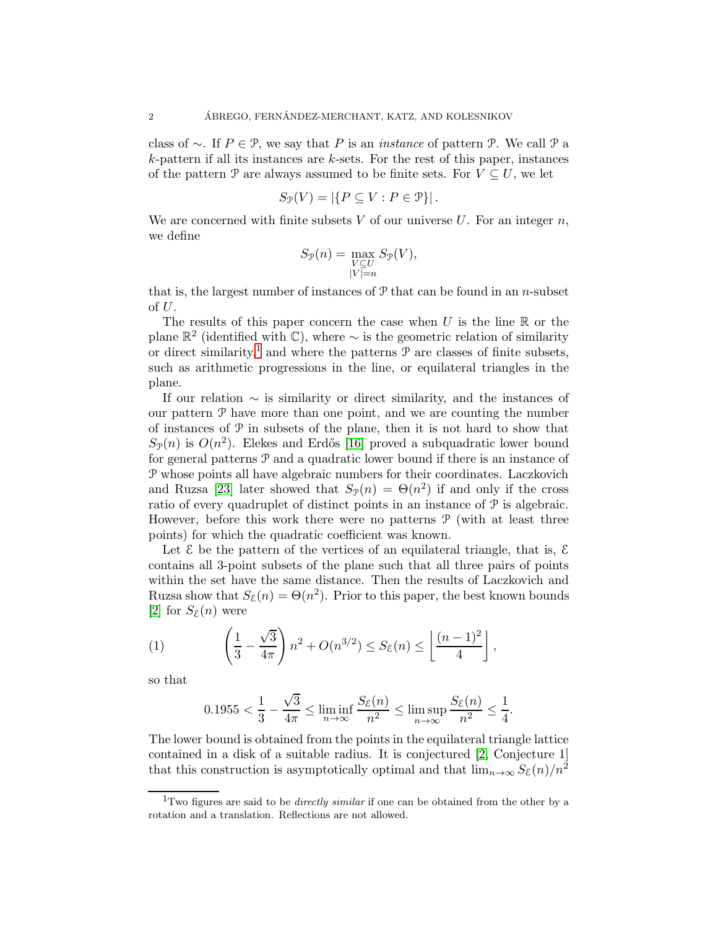class of ∼. If P ∈ P, we say that P is an *instance* of pattern P. We call P a  $k$ -pattern if all its instances are  $k$ -sets. For the rest of this paper, instances of the pattern P are always assumed to be finite sets. For  $V \subseteq U$ , we let

$$
S_{\mathcal{P}}(V) = |\{P \subseteq V : P \in \mathcal{P}\}|.
$$

We are concerned with finite subsets  $V$  of our universe  $U$ . For an integer  $n$ , we define

$$
S_{\mathcal{P}}(n) = \max_{\substack{V \subseteq U \\ |V| = n}} S_{\mathcal{P}}(V),
$$

that is, the largest number of instances of  $P$  that can be found in an n-subset of  $U$ .

The results of this paper concern the case when  $U$  is the line  $\mathbb R$  or the plane  $\mathbb{R}^2$  (identified with  $\mathbb{C}$ ), where  $\sim$  is the geometric relation of similarity or direct similarity,<sup>[1](#page-1-0)</sup> and where the patterns  $P$  are classes of finite subsets, such as arithmetic progressions in the line, or equilateral triangles in the plane.

If our relation  $\sim$  is similarity or direct similarity, and the instances of our pattern  $P$  have more than one point, and we are counting the number of instances of  $P$  in subsets of the plane, then it is not hard to show that  $S_{\mathcal{P}}(n)$  is  $O(n^2)$ . Elekes and Erdős [\[16\]](#page-23-10) proved a subquadratic lower bound for general patterns P and a quadratic lower bound if there is an instance of P whose points all have algebraic numbers for their coordinates. Laczkovich and Ruzsa [\[23\]](#page-23-11) later showed that  $S_{\mathcal{P}}(n) = \Theta(n^2)$  if and only if the cross ratio of every quadruplet of distinct points in an instance of P is algebraic. However, before this work there were no patterns  $P$  (with at least three points) for which the quadratic coefficient was known.

Let  $\mathcal E$  be the pattern of the vertices of an equilateral triangle, that is,  $\mathcal E$ contains all 3-point subsets of the plane such that all three pairs of points within the set have the same distance. Then the results of Laczkovich and Ruzsa show that  $S_{\mathcal{E}}(n) = \Theta(n^2)$ . Prior to this paper, the best known bounds [\[2\]](#page-22-12) for  $S_{\varepsilon}(n)$  were

(1) 
$$
\left(\frac{1}{3} - \frac{\sqrt{3}}{4\pi}\right) n^2 + O(n^{3/2}) \le S_{\mathcal{E}}(n) \le \left\lfloor \frac{(n-1)^2}{4} \right\rfloor,
$$

so that

<span id="page-1-1"></span>
$$
0.1955 < \frac{1}{3} - \frac{\sqrt{3}}{4\pi} \le \liminf_{n \to \infty} \frac{S_{\mathcal{E}}(n)}{n^2} \le \limsup_{n \to \infty} \frac{S_{\mathcal{E}}(n)}{n^2} \le \frac{1}{4}.
$$

The lower bound is obtained from the points in the equilateral triangle lattice contained in a disk of a suitable radius. It is conjectured [\[2,](#page-22-12) Conjecture 1] that this construction is asymptotically optimal and that  $\lim_{n\to\infty} S_{\xi}(n)/n^2$ 

<span id="page-1-0"></span><sup>&</sup>lt;sup>1</sup>Two figures are said to be *directly similar* if one can be obtained from the other by a rotation and a translation. Reflections are not allowed.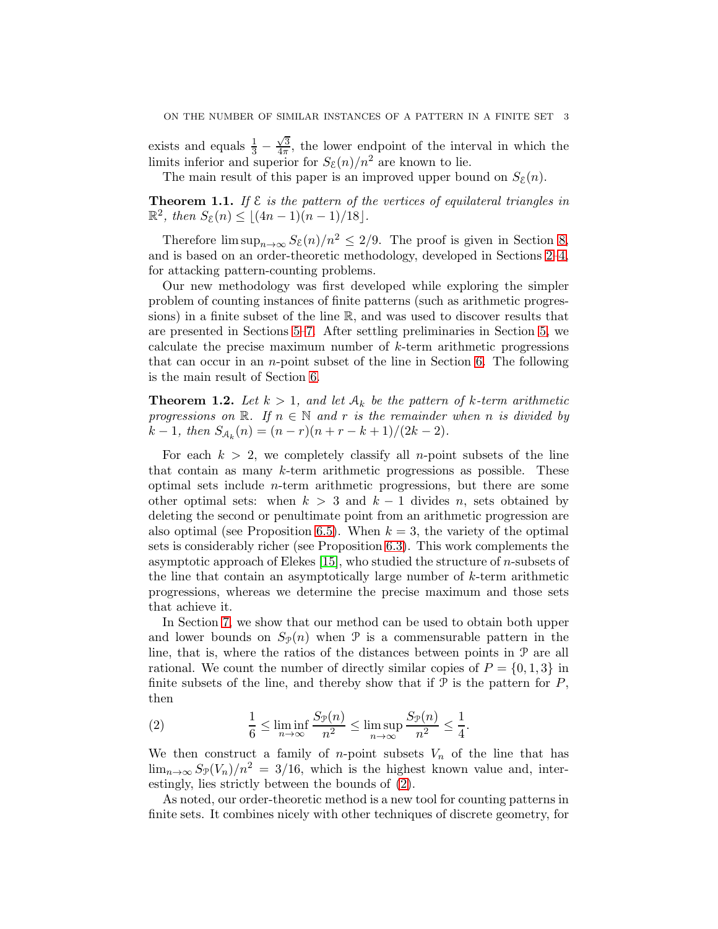exists and equals  $\frac{1}{3}$  –  $\sqrt{3}$  $\frac{\sqrt{3}}{4\pi}$ , the lower endpoint of the interval in which the limits inferior and superior for  $S_{\mathcal{E}}(n)/n^2$  are known to lie.

The main result of this paper is an improved upper bound on  $S_{\mathcal{E}}(n)$ .

<span id="page-2-1"></span>**Theorem 1.1.** If  $\mathcal{E}$  is the pattern of the vertices of equilateral triangles in  $\mathbb{R}^2$ , then  $S_{\mathcal{E}}(n) \leq \lfloor (4n-1)(n-1)/18 \rfloor$ .

Therefore  $\limsup_{n\to\infty} S_{\mathcal{E}}(n)/n^2 \leq 2/9$ . The proof is given in Section [8,](#page-16-0) and is based on an order-theoretic methodology, developed in Sections [2](#page-3-0)[–4,](#page-6-0) for attacking pattern-counting problems.

Our new methodology was first developed while exploring the simpler problem of counting instances of finite patterns (such as arithmetic progressions) in a finite subset of the line R, and was used to discover results that are presented in Sections [5–](#page-7-0)[7.](#page-13-0) After settling preliminaries in Section [5,](#page-7-0) we calculate the precise maximum number of k-term arithmetic progressions that can occur in an n-point subset of the line in Section [6.](#page-7-1) The following is the main result of Section [6.](#page-7-1)

<span id="page-2-2"></span>**Theorem 1.2.** Let  $k > 1$ , and let  $A_k$  be the pattern of k-term arithmetic *progressions on*  $\mathbb{R}$ *. If*  $n \in \mathbb{N}$  *and* r *is the remainder when* n *is divided by*  $k-1$ , then  $S_{\mathcal{A}_k}(n) = (n-r)(n+r-k+1)/(2k-2)$ .

For each  $k > 2$ , we completely classify all *n*-point subsets of the line that contain as many k-term arithmetic progressions as possible. These optimal sets include  $n$ -term arithmetic progressions, but there are some other optimal sets: when  $k > 3$  and  $k - 1$  divides n, sets obtained by deleting the second or penultimate point from an arithmetic progression are also optimal (see Proposition [6.5\)](#page-10-0). When  $k = 3$ , the variety of the optimal sets is considerably richer (see Proposition [6.3\)](#page-8-0). This work complements the asymptotic approach of Elekes  $[15]$ , who studied the structure of *n*-subsets of the line that contain an asymptotically large number of  $k$ -term arithmetic progressions, whereas we determine the precise maximum and those sets that achieve it.

In Section [7,](#page-13-0) we show that our method can be used to obtain both upper and lower bounds on  $S_{\mathcal{P}}(n)$  when  $\mathcal P$  is a commensurable pattern in the line, that is, where the ratios of the distances between points in  $\mathcal P$  are all rational. We count the number of directly similar copies of  $P = \{0, 1, 3\}$  in finite subsets of the line, and thereby show that if  $P$  is the pattern for  $P$ , then

<span id="page-2-0"></span>(2) 
$$
\frac{1}{6} \leq \liminf_{n \to \infty} \frac{S_{\mathcal{P}}(n)}{n^2} \leq \limsup_{n \to \infty} \frac{S_{\mathcal{P}}(n)}{n^2} \leq \frac{1}{4}.
$$

We then construct a family of *n*-point subsets  $V_n$  of the line that has  $\lim_{n\to\infty}S_{\mathcal{P}}(V_n)/n^2=3/16$ , which is the highest known value and, interestingly, lies strictly between the bounds of [\(2\)](#page-2-0).

As noted, our order-theoretic method is a new tool for counting patterns in finite sets. It combines nicely with other techniques of discrete geometry, for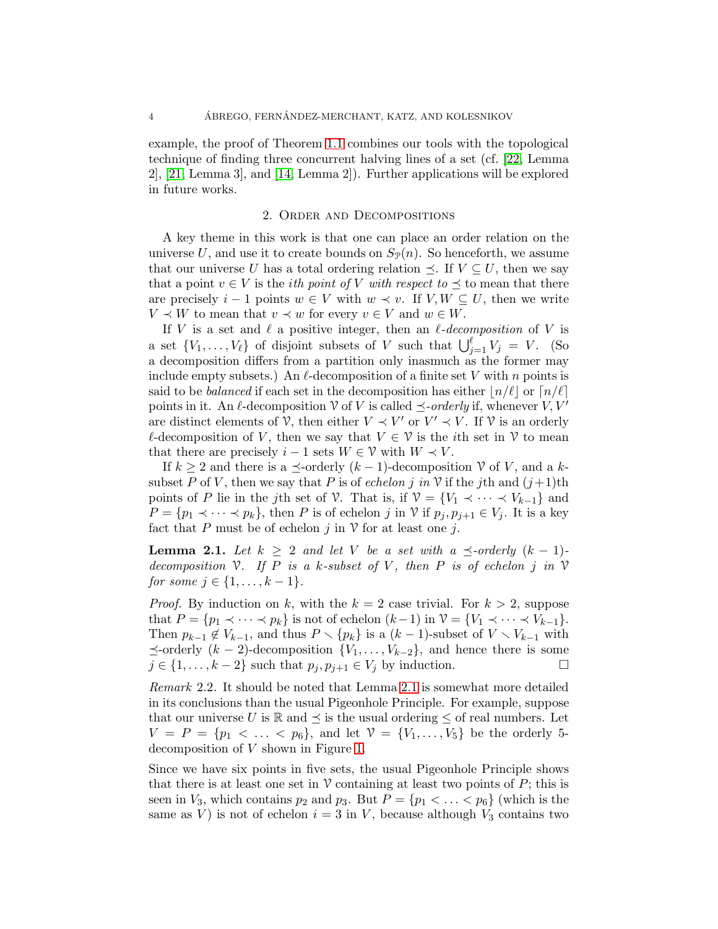example, the proof of Theorem [1.1](#page-2-1) combines our tools with the topological technique of finding three concurrent halving lines of a set (cf. [\[22,](#page-23-13) Lemma 2], [\[21,](#page-23-14) Lemma 3], and [\[14,](#page-23-15) Lemma 2]). Further applications will be explored in future works.

### 2. Order and Decompositions

<span id="page-3-0"></span>A key theme in this work is that one can place an order relation on the universe U, and use it to create bounds on  $S_{\mathcal{P}}(n)$ . So henceforth, we assume that our universe U has a total ordering relation  $\prec$ . If  $V \subset U$ , then we say that a point  $v \in V$  is the *i*th point of V with respect to  $\preceq$  to mean that there are precisely  $i-1$  points  $w \in V$  with  $w \prec v$ . If  $V, W \subseteq U$ , then we write  $V \prec W$  to mean that  $v \prec w$  for every  $v \in V$  and  $w \in W$ .

If V is a set and  $\ell$  a positive integer, then an  $\ell$ -decomposition of V is a set  $\{V_1, \ldots, V_\ell\}$  of disjoint subsets of V such that  $\bigcup_{j=1}^{\ell} V_j = V$ . (So a decomposition differs from a partition only inasmuch as the former may include empty subsets.) An  $\ell$ -decomposition of a finite set V with n points is said to be *balanced* if each set in the decomposition has either  $n/\ell$  or  $n/\ell$ points in it. An  $\ell$ -decomposition  $\mathcal V$  of  $V$  is called  $\preceq$ -orderly if, whenever  $V, V'$ are distinct elements of  $\mathcal{V}$ , then either  $V \prec V'$  or  $V' \prec V$ . If  $\mathcal{V}$  is an orderly  $\ell$ -decomposition of V, then we say that  $V \in \mathcal{V}$  is the *i*th set in  $\mathcal{V}$  to mean that there are precisely  $i-1$  sets  $W \in \mathcal{V}$  with  $W \prec V$ .

If  $k \geq 2$  and there is a  $\preceq$ -orderly  $(k-1)$ -decomposition  $\mathcal V$  of  $V$ , and a ksubset P of V, then we say that P is of *echelon* j in V if the jth and  $(j+1)$ th points of P lie in the jth set of V. That is, if  $\mathcal{V} = \{V_1 \prec \cdots \prec V_{k-1}\}\$  and  $P = \{p_1 \prec \cdots \prec p_k\}$ , then P is of echelon j in V if  $p_j, p_{j+1} \in V_j$ . It is a key fact that P must be of echelon j in  $\mathcal V$  for at least one j.

<span id="page-3-1"></span>**Lemma 2.1.** Let  $k \geq 2$  and let V be a set with a  $\preceq$ -orderly  $(k-1)$ *decomposition*  $\nabla$ *. If*  $P$  *is a* k-subset of  $V$ *, then*  $P$  *is of echelon*  $j$  *in*  $\nabla$ *for some*  $j \in \{1, ..., k-1\}$ *.* 

*Proof.* By induction on k, with the  $k = 2$  case trivial. For  $k > 2$ , suppose that  $P = \{p_1 \prec \cdots \prec p_k\}$  is not of echelon  $(k-1)$  in  $\mathcal{V} = \{V_1 \prec \cdots \prec V_{k-1}\}.$ Then  $p_{k-1} \notin V_{k-1}$ , and thus  $P \setminus \{p_k\}$  is a  $(k-1)$ -subset of  $V \setminus V_{k-1}$  with  $\preceq$ -orderly  $(k-2)$ -decomposition  $\{V_1, \ldots, V_{k-2}\}$ , and hence there is some  $i \in \{1, \ldots, k-2\}$  such that  $p_i, p_{i+1} \in V_i$  by induction.  $j \in \{1, \ldots, k-2\}$  such that  $p_j, p_{j+1} \in V_j$  by induction.

*Remark* 2.2*.* It should be noted that Lemma [2.1](#page-3-1) is somewhat more detailed in its conclusions than the usual Pigeonhole Principle. For example, suppose that our universe U is  $\mathbb R$  and  $\preceq$  is the usual ordering  $\leq$  of real numbers. Let  $V = P = \{p_1 < \ldots < p_6\}$ , and let  $V = \{V_1, \ldots, V_5\}$  be the orderly 5decomposition of V shown in Figure [1.](#page-4-0)

Since we have six points in five sets, the usual Pigeonhole Principle shows that there is at least one set in  $\mathcal V$  containing at least two points of  $P$ ; this is seen in  $V_3$ , which contains  $p_2$  and  $p_3$ . But  $P = \{p_1 < \ldots < p_6\}$  (which is the same as V) is not of echelon  $i = 3$  in V, because although  $V_3$  contains two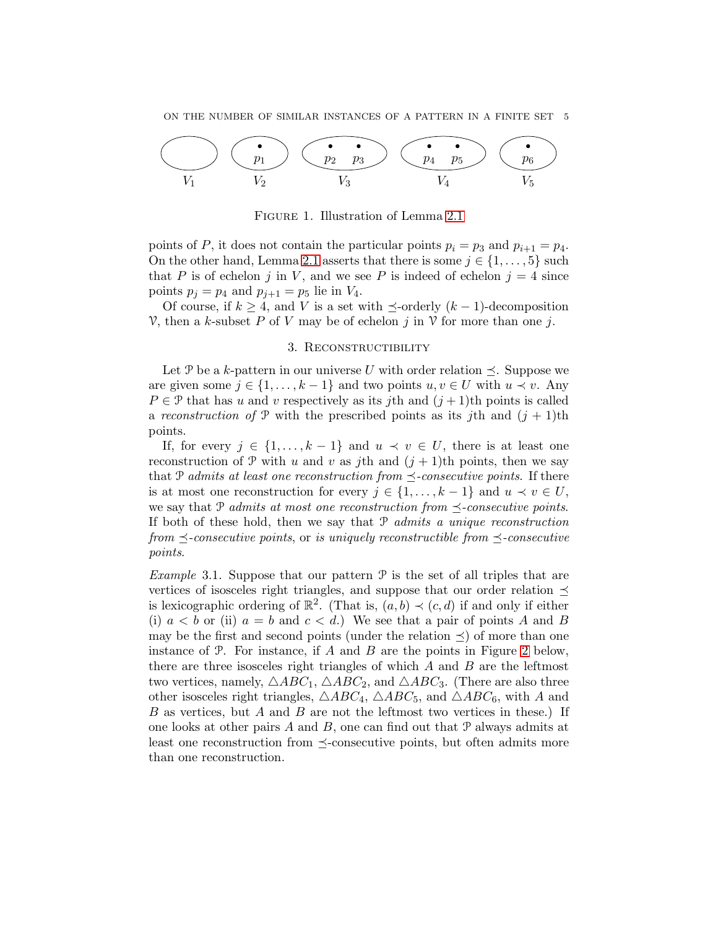

<span id="page-4-0"></span>Figure 1. Illustration of Lemma [2.1](#page-3-1)

points of P, it does not contain the particular points  $p_i = p_3$  and  $p_{i+1} = p_4$ . On the other hand, Lemma [2.1](#page-3-1) asserts that there is some  $j \in \{1, \ldots, 5\}$  such that P is of echelon j in V, and we see P is indeed of echelon  $j = 4$  since points  $p_j = p_4$  and  $p_{j+1} = p_5$  lie in  $V_4$ .

Of course, if  $k \geq 4$ , and V is a set with  $\preceq$ -orderly  $(k-1)$ -decomposition V, then a k-subset P of V may be of echelon j in V for more than one j.

## 3. RECONSTRUCTIBILITY

Let P be a k-pattern in our universe U with order relation  $\preceq$ . Suppose we are given some  $j \in \{1, \ldots, k-1\}$  and two points  $u, v \in U$  with  $u \prec v$ . Any  $P \in \mathcal{P}$  that has u and v respectively as its jth and  $(j+1)$ th points is called a *reconstruction of*  $P$  with the prescribed points as its *j*th and  $(j + 1)$ th points.

If, for every  $j \in \{1, ..., k-1\}$  and  $u \prec v \in U$ , there is at least one reconstruction of P with u and v as jth and  $(j + 1)$ th points, then we say that P *admits at least one reconstruction from*  $\preceq$ -consecutive points. If there is at most one reconstruction for every  $j \in \{1, ..., k-1\}$  and  $u \prec v \in U$ , we say that P *admits at most one reconstruction from*  $\leq$ -consecutive points. If both of these hold, then we say that P *admits a unique reconstruction from*  $\le$ -consecutive points, or *is uniquely reconstructible from*  $\le$ -consecutive *points*.

*Example* 3.1. Suppose that our pattern  $P$  is the set of all triples that are vertices of isosceles right triangles, and suppose that our order relation  $\preceq$ is lexicographic ordering of  $\mathbb{R}^2$ . (That is,  $(a, b) \prec (c, d)$  if and only if either (i)  $a < b$  or (ii)  $a = b$  and  $c < d$ .) We see that a pair of points A and B may be the first and second points (under the relation  $\preceq$ ) of more than one instance of  $P$ . For instance, if  $A$  and  $B$  are the points in Figure [2](#page-5-0) below, there are three isosceles right triangles of which  $A$  and  $B$  are the leftmost two vertices, namely,  $\triangle ABC_1$ ,  $\triangle ABC_2$ , and  $\triangle ABC_3$ . (There are also three other isosceles right triangles,  $\triangle ABC_4$ ,  $\triangle ABC_5$ , and  $\triangle ABC_6$ , with A and B as vertices, but A and B are not the leftmost two vertices in these.) If one looks at other pairs  $A$  and  $B$ , one can find out that  $P$  always admits at least one reconstruction from  $\preceq$ -consecutive points, but often admits more than one reconstruction.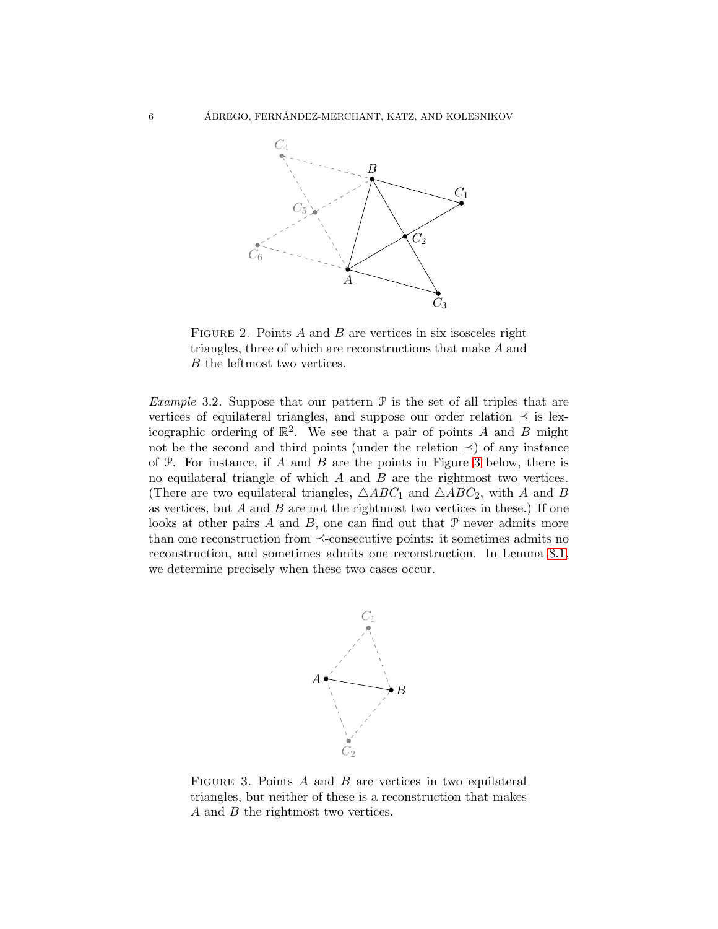

<span id="page-5-0"></span>FIGURE 2. Points  $A$  and  $B$  are vertices in six isosceles right triangles, three of which are reconstructions that make A and B the leftmost two vertices.

*Example* 3.2. Suppose that our pattern  $P$  is the set of all triples that are vertices of equilateral triangles, and suppose our order relation  $\preceq$  is lexicographic ordering of  $\mathbb{R}^2$ . We see that a pair of points A and B might not be the second and third points (under the relation  $\preceq$ ) of any instance of  $P$ . For instance, if  $A$  and  $B$  are the points in Figure [3](#page-5-1) below, there is no equilateral triangle of which  $A$  and  $B$  are the rightmost two vertices. (There are two equilateral triangles,  $\triangle ABC_1$  and  $\triangle ABC_2$ , with A and B as vertices, but  $A$  and  $B$  are not the rightmost two vertices in these.) If one looks at other pairs  $A$  and  $B$ , one can find out that  $P$  never admits more than one reconstruction from  $\preceq$ -consecutive points: it sometimes admits no reconstruction, and sometimes admits one reconstruction. In Lemma [8.1,](#page-16-1) we determine precisely when these two cases occur.



<span id="page-5-1"></span>FIGURE 3. Points  $A$  and  $B$  are vertices in two equilateral triangles, but neither of these is a reconstruction that makes A and B the rightmost two vertices.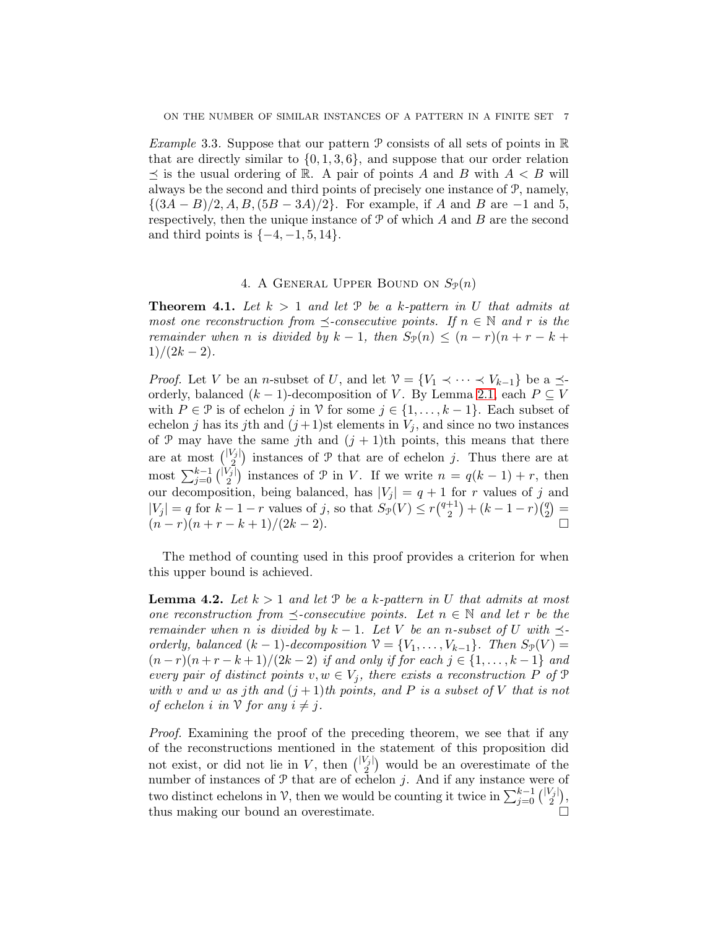*Example* 3.3*.* Suppose that our pattern P consists of all sets of points in R that are directly similar to  $\{0, 1, 3, 6\}$ , and suppose that our order relation  $\preceq$  is the usual ordering of R. A pair of points A and B with  $A < B$  will always be the second and third points of precisely one instance of P, namely,  $\{(3A - B)/2, A, B, (5B - 3A)/2\}$ . For example, if A and B are -1 and 5, respectively, then the unique instance of  $P$  of which  $A$  and  $B$  are the second and third points is  $\{-4, -1, 5, 14\}$ .

# 4. A GENERAL UPPER BOUND ON  $S_{\mathcal{P}}(n)$

<span id="page-6-1"></span><span id="page-6-0"></span>**Theorem 4.1.** Let  $k > 1$  and let  $\mathcal{P}$  be a k-pattern in U that admits at *most one reconstruction from*  $\preceq$ -consecutive points. If  $n \in \mathbb{N}$  and r is the *remainder when n is divided by*  $k - 1$ *, then*  $S_{\mathcal{P}}(n) \leq (n - r)(n + r - k + 1)$  $1)/(2k-2)$ .

*Proof.* Let V be an n-subset of U, and let  $\mathcal{V} = \{V_1 \prec \cdots \prec V_{k-1}\}$  be a  $\preceq$ orderly, balanced  $(k - 1)$ -decomposition of V. By Lemma [2.1,](#page-3-1) each  $P \subseteq V$ with  $P \in \mathcal{P}$  is of echelon j in  $\mathcal{V}$  for some  $j \in \{1, ..., k-1\}$ . Each subset of echelon j has its jth and  $(j+1)$ st elements in  $V_j$ , and since no two instances of P may have the same jth and  $(j + 1)$ th points, this means that there are at most  $\binom{|V_j|}{2}$  instances of  $\mathcal P$  that are of echelon j. Thus there are at most  $\sum_{j=0}^{k-1} {\binom{|V_j|}{2}}$  instances of  $\mathcal P$  in V. If we write  $n = q(k-1) + r$ , then our decomposition, being balanced, has  $|V_j| = q + 1$  for r values of j and  $|V_j| = q$  for  $k-1-r$  values of j, so that  $S_{\mathcal{P}}(V) \le r {q+1 \choose 2}$  $\binom{+1}{2} + (k-1-r)\binom{q}{2}$  $_{2}^{q}$  $) =$  $(n-r)(n+r-k+1)/(2k-2).$ 

The method of counting used in this proof provides a criterion for when this upper bound is achieved.

<span id="page-6-2"></span>**Lemma 4.2.** Let  $k > 1$  and let  $P$  be a k-pattern in U that admits at most *one reconstruction from*  $\preceq$ -consecutive points. Let  $n \in \mathbb{N}$  and let r be the *remainder when n is divided by*  $k - 1$ *. Let* V *be an n*-subset of U with  $\preceq$ *orderly, balanced*  $(k - 1)$ *-decomposition*  $V = \{V_1, \ldots, V_{k-1}\}$ *. Then*  $S_{\mathcal{P}}(V)$  =  $(n - r)(n + r - k + 1)/(2k - 2)$  *if and only if for each*  $j \in \{1, ..., k - 1\}$  *and every pair of distinct points*  $v, w \in V_j$ *, there exists a reconstruction* P of P *with* v and w as jth and  $(j + 1)$ *th points, and* P *is a subset of* V *that is not of echelon i in*  $\mathcal V$  *for any*  $i \neq j$ *.* 

*Proof.* Examining the proof of the preceding theorem, we see that if any of the reconstructions mentioned in the statement of this proposition did not exist, or did not lie in V, then  $\binom{|V_j|}{2}$  would be an overestimate of the number of instances of  $P$  that are of echelon j. And if any instance were of two distinct echelons in  $\mathcal{V}$ , then we would be counting it twice in  $\sum_{j=0}^{k-1} {\binom{|V_j|}{2}}$ , thus making our bound an overestimate.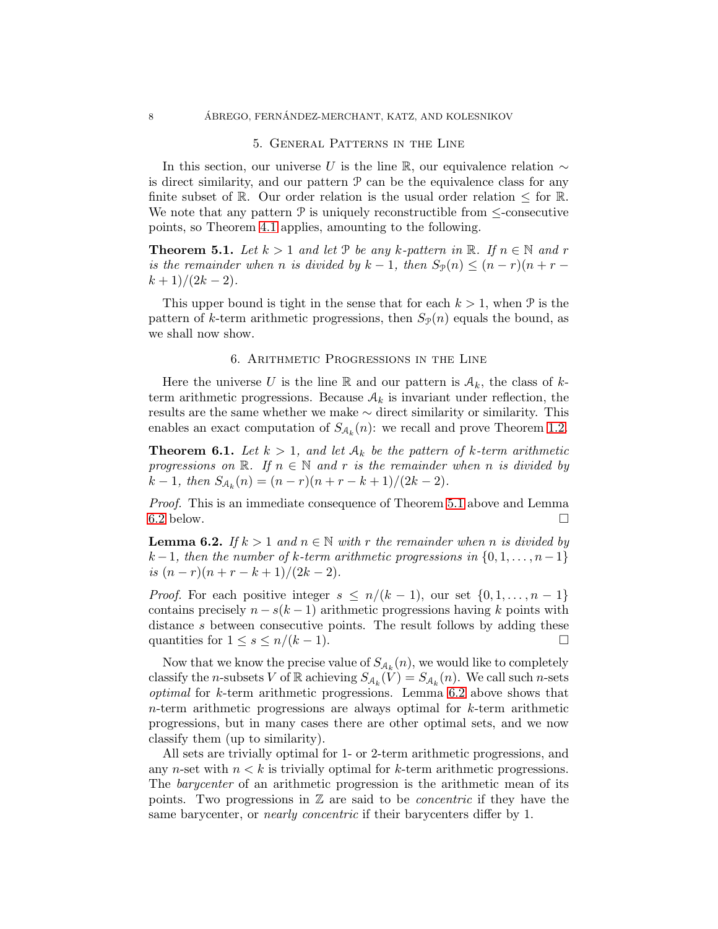### 5. General Patterns in the Line

<span id="page-7-0"></span>In this section, our universe U is the line R, our equivalence relation  $\sim$ is direct similarity, and our pattern  $\mathcal P$  can be the equivalence class for any finite subset of R. Our order relation is the usual order relation  $\leq$  for R. We note that any pattern  $P$  is uniquely reconstructible from  $\leq$ -consecutive points, so Theorem [4.1](#page-6-1) applies, amounting to the following.

<span id="page-7-2"></span>**Theorem 5.1.** Let  $k > 1$  and let P be any k-pattern in  $\mathbb{R}$ . If  $n \in \mathbb{N}$  and r *is the remainder when n is divided by*  $k - 1$ *, then*  $S_{\mathcal{P}}(n) \leq (n - r)(n + r - 1)$  $(k+1)/(2k-2)$ .

<span id="page-7-1"></span>This upper bound is tight in the sense that for each  $k > 1$ , when  $\mathcal{P}$  is the pattern of k-term arithmetic progressions, then  $S_p(n)$  equals the bound, as we shall now show.

#### 6. Arithmetic Progressions in the Line

Here the universe U is the line R and our pattern is  $A_k$ , the class of kterm arithmetic progressions. Because  $A_k$  is invariant under reflection, the results are the same whether we make ∼ direct similarity or similarity. This enables an exact computation of  $S_{A_k}(n)$ : we recall and prove Theorem [1.2.](#page-2-2)

<span id="page-7-4"></span>**Theorem 6.1.** Let  $k > 1$ , and let  $A_k$  be the pattern of k-term arithmetic *progressions on*  $\mathbb{R}$ *. If*  $n \in \mathbb{N}$  *and* r *is the remainder when* n *is divided by*  $k-1$ , then  $S_{\mathcal{A}_k}(n) = (n-r)(n+r-k+1)/(2k-2)$ .

*Proof.* This is an immediate consequence of Theorem [5.1](#page-7-2) above and Lemma [6.2](#page-7-3) below.  $\Box$ 

<span id="page-7-3"></span>**Lemma 6.2.** *If*  $k > 1$  *and*  $n \in \mathbb{N}$  *with* r *the remainder when* n *is divided by*  $k-1$ , then the number of k-term arithmetic progressions in  $\{0, 1, \ldots, n-1\}$ *is*  $(n - r)(n + r - k + 1)/(2k - 2)$ .

*Proof.* For each positive integer  $s \leq n/(k-1)$ , our set  $\{0, 1, \ldots, n-1\}$ contains precisely  $n - s(k-1)$  arithmetic progressions having k points with distance s between consecutive points. The result follows by adding these quantities for  $1 \leq s \leq n/(k-1)$ .

Now that we know the precise value of  $S_{A_k}(n)$ , we would like to completely classify the *n*-subsets V of R achieving  $S_{A_k}(V) = S_{A_k}(n)$ . We call such *n*-sets *optimal* for k-term arithmetic progressions. Lemma [6.2](#page-7-3) above shows that  $n$ -term arithmetic progressions are always optimal for  $k$ -term arithmetic progressions, but in many cases there are other optimal sets, and we now classify them (up to similarity).

All sets are trivially optimal for 1- or 2-term arithmetic progressions, and any n-set with  $n < k$  is trivially optimal for k-term arithmetic progressions. The *barycenter* of an arithmetic progression is the arithmetic mean of its points. Two progressions in Z are said to be *concentric* if they have the same barycenter, or *nearly concentric* if their barycenters differ by 1.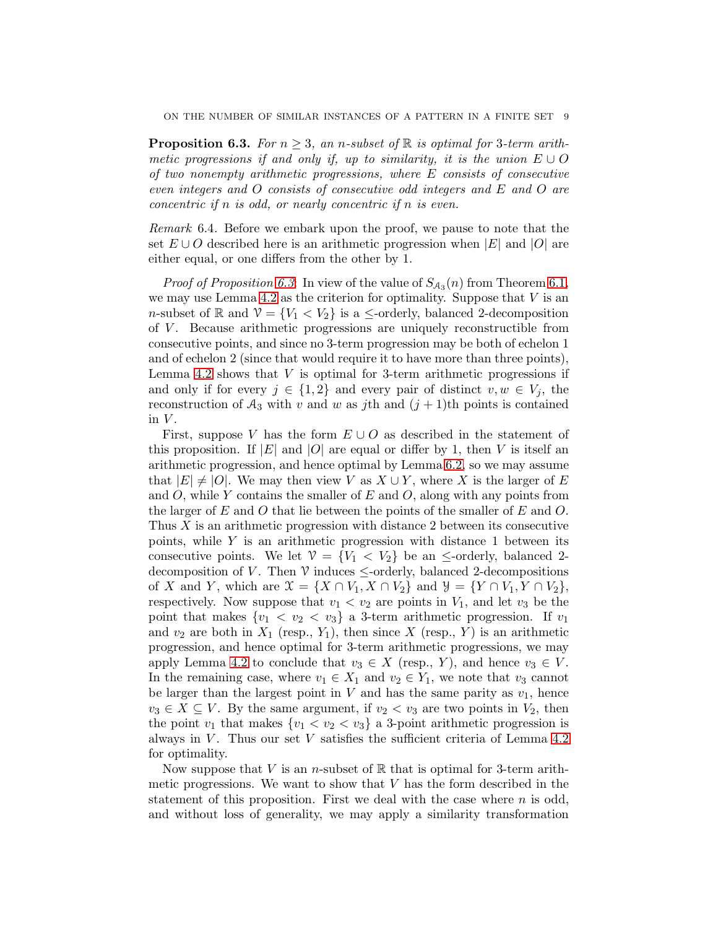<span id="page-8-0"></span>**Proposition 6.3.** *For*  $n \geq 3$ , an *n*-subset of  $\mathbb{R}$  is optimal for 3-term arith*metic progressions if and only if, up to similarity, it is the union*  $E \cup O$ *of two nonempty arithmetic progressions, where* E *consists of consecutive even integers and* O *consists of consecutive odd integers and* E *and* O *are concentric if* n *is odd, or nearly concentric if* n *is even.*

*Remark* 6.4*.* Before we embark upon the proof, we pause to note that the set  $E \cup O$  described here is an arithmetic progression when  $|E|$  and  $|O|$  are either equal, or one differs from the other by 1.

*Proof of Proposition [6.3](#page-8-0)*: In view of the value of  $S_{A_3}(n)$  from Theorem [6.1,](#page-7-4) we may use Lemma [4.2](#page-6-2) as the criterion for optimality. Suppose that  $V$  is an n-subset of R and  $V = \{V_1 < V_2\}$  is a  $\leq$ -orderly, balanced 2-decomposition of  $V$ . Because arithmetic progressions are uniquely reconstructible from consecutive points, and since no 3-term progression may be both of echelon 1 and of echelon 2 (since that would require it to have more than three points), Lemma [4.2](#page-6-2) shows that  $V$  is optimal for 3-term arithmetic progressions if and only if for every  $j \in \{1,2\}$  and every pair of distinct  $v, w \in V_j$ , the reconstruction of  $A_3$  with v and w as jth and  $(j + 1)$ th points is contained in  $V$ .

First, suppose V has the form  $E \cup O$  as described in the statement of this proposition. If |E| and |O| are equal or differ by 1, then V is itself an arithmetic progression, and hence optimal by Lemma [6.2,](#page-7-3) so we may assume that  $|E| \neq |O|$ . We may then view V as  $X \cup Y$ , where X is the larger of E and  $O$ , while Y contains the smaller of E and  $O$ , along with any points from the larger of E and O that lie between the points of the smaller of E and O. Thus  $X$  is an arithmetic progression with distance 2 between its consecutive points, while  $Y$  is an arithmetic progression with distance 1 between its consecutive points. We let  $\mathcal{V} = \{V_1 \langle V_2 \rangle\}$  be an  $\leq$ -orderly, balanced 2decomposition of V. Then  $\mathcal V$  induces  $\leq$ -orderly, balanced 2-decompositions of X and Y, which are  $\mathfrak{X} = \{X \cap V_1, X \cap V_2\}$  and  $\mathcal{Y} = \{Y \cap V_1, Y \cap V_2\}$ , respectively. Now suppose that  $v_1 < v_2$  are points in  $V_1$ , and let  $v_3$  be the point that makes  $\{v_1 \, < v_2 \, < v_3\}$  a 3-term arithmetic progression. If  $v_1$ and  $v_2$  are both in  $X_1$  (resp.,  $Y_1$ ), then since X (resp., Y) is an arithmetic progression, and hence optimal for 3-term arithmetic progressions, we may apply Lemma [4.2](#page-6-2) to conclude that  $v_3 \in X$  (resp., Y), and hence  $v_3 \in V$ . In the remaining case, where  $v_1 \in X_1$  and  $v_2 \in Y_1$ , we note that  $v_3$  cannot be larger than the largest point in  $V$  and has the same parity as  $v_1$ , hence  $v_3 \in X \subseteq V$ . By the same argument, if  $v_2 < v_3$  are two points in  $V_2$ , then the point  $v_1$  that makes  $\{v_1 < v_2 < v_3\}$  a 3-point arithmetic progression is always in  $V$ . Thus our set  $V$  satisfies the sufficient criteria of Lemma [4.2](#page-6-2) for optimality.

Now suppose that V is an *n*-subset of  $\mathbb R$  that is optimal for 3-term arithmetic progressions. We want to show that  $V$  has the form described in the statement of this proposition. First we deal with the case where  $n$  is odd, and without loss of generality, we may apply a similarity transformation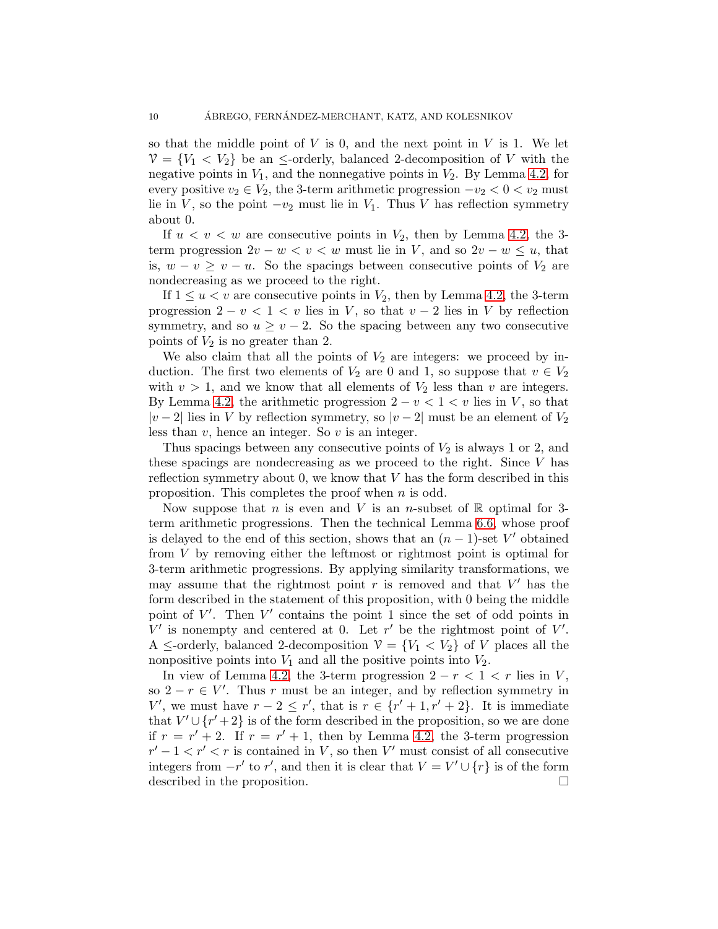so that the middle point of  $V$  is 0, and the next point in  $V$  is 1. We let  $V = \{V_1 \lt V_2\}$  be an  $\le$ -orderly, balanced 2-decomposition of V with the negative points in  $V_1$ , and the nonnegative points in  $V_2$ . By Lemma [4.2,](#page-6-2) for every positive  $v_2 \in V_2$ , the 3-term arithmetic progression  $-v_2 < 0 < v_2$  must lie in V, so the point  $-v_2$  must lie in  $V_1$ . Thus V has reflection symmetry about 0.

If  $u < v < w$  are consecutive points in  $V_2$ , then by Lemma [4.2,](#page-6-2) the 3term progression  $2v - w < v < w$  must lie in V, and so  $2v - w \leq u$ , that is,  $w - v \geq v - u$ . So the spacings between consecutive points of  $V_2$  are nondecreasing as we proceed to the right.

If  $1 \le u < v$  are consecutive points in  $V_2$ , then by Lemma [4.2,](#page-6-2) the 3-term progression  $2 - v < 1 < v$  lies in V, so that  $v - 2$  lies in V by reflection symmetry, and so  $u \ge v - 2$ . So the spacing between any two consecutive points of  $V_2$  is no greater than 2.

We also claim that all the points of  $V_2$  are integers: we proceed by induction. The first two elements of  $V_2$  are 0 and 1, so suppose that  $v \in V_2$ with  $v > 1$ , and we know that all elements of  $V_2$  less than v are integers. By Lemma [4.2,](#page-6-2) the arithmetic progression  $2 - v < 1 < v$  lies in V, so that  $|v-2|$  lies in V by reflection symmetry, so  $|v-2|$  must be an element of  $V_2$ less than  $v$ , hence an integer. So  $v$  is an integer.

Thus spacings between any consecutive points of  $V_2$  is always 1 or 2, and these spacings are nondecreasing as we proceed to the right. Since  $V$  has reflection symmetry about 0, we know that  $V$  has the form described in this proposition. This completes the proof when  $n$  is odd.

Now suppose that n is even and V is an n-subset of  $\mathbb R$  optimal for 3term arithmetic progressions. Then the technical Lemma [6.6,](#page-11-0) whose proof is delayed to the end of this section, shows that an  $(n-1)$ -set V' obtained from V by removing either the leftmost or rightmost point is optimal for 3-term arithmetic progressions. By applying similarity transformations, we may assume that the rightmost point  $r$  is removed and that  $V'$  has the form described in the statement of this proposition, with 0 being the middle point of  $V'$ . Then  $V'$  contains the point 1 since the set of odd points in  $V'$  is nonempty and centered at 0. Let  $r'$  be the rightmost point of  $V'$ . A  $\leq$ -orderly, balanced 2-decomposition  $\mathcal{V} = \{V_1 \lt V_2\}$  of V places all the nonpositive points into  $V_1$  and all the positive points into  $V_2$ .

In view of Lemma [4.2,](#page-6-2) the 3-term progression  $2 - r < 1 < r$  lies in V, so  $2 - r \in V'$ . Thus r must be an integer, and by reflection symmetry in V', we must have  $r - 2 \le r'$ , that is  $r \in \{r' + 1, r' + 2\}$ . It is immediate that  $V' \cup \{r'+2\}$  is of the form described in the proposition, so we are done if  $r = r' + 2$ . If  $r = r' + 1$ , then by Lemma [4.2,](#page-6-2) the 3-term progression  $r'-1 < r' < r$  is contained in V, so then V' must consist of all consecutive integers from  $-r'$  to r', and then it is clear that  $V = V' \cup \{r\}$  is of the form described in the proposition.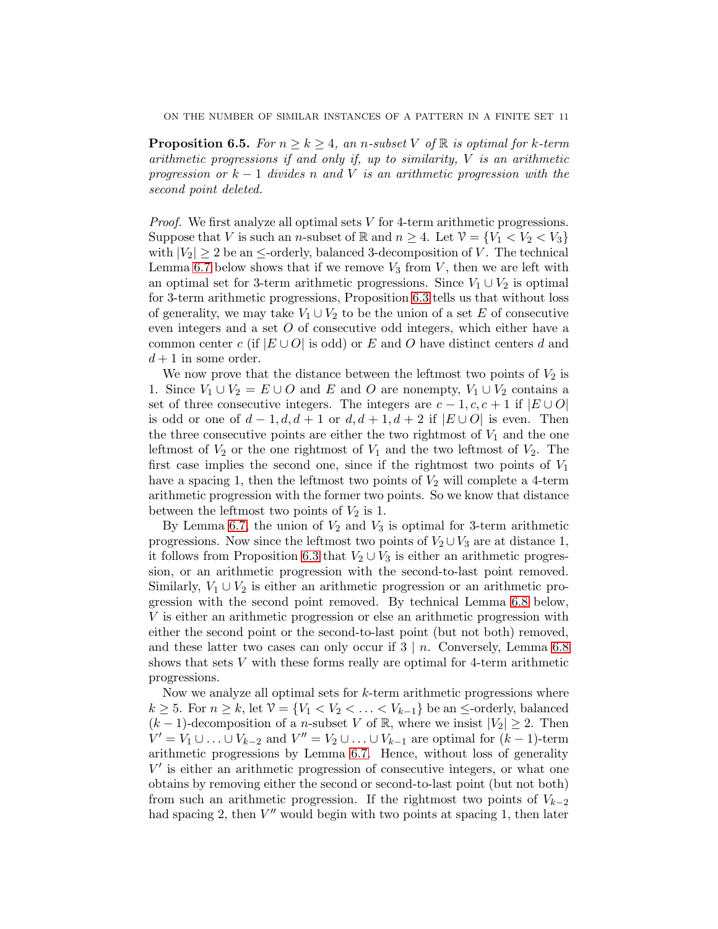<span id="page-10-0"></span>**Proposition 6.5.** *For*  $n \geq k \geq 4$ *, an n*-subset V of R *is optimal for* k-term *arithmetic progressions if and only if, up to similarity,* V *is an arithmetic progression or* k − 1 *divides* n *and* V *is an arithmetic progression with the second point deleted.*

*Proof.* We first analyze all optimal sets V for 4-term arithmetic progressions. Suppose that V is such an n-subset of R and  $n \geq 4$ . Let  $\mathcal{V} = \{V_1 < V_2 < V_3\}$ with  $|V_2| \geq 2$  be an  $\leq$ -orderly, balanced 3-decomposition of V. The technical Lemma [6.7](#page-12-0) below shows that if we remove  $V_3$  from V, then we are left with an optimal set for 3-term arithmetic progressions. Since  $V_1 \cup V_2$  is optimal for 3-term arithmetic progressions, Proposition [6.3](#page-8-0) tells us that without loss of generality, we may take  $V_1 \cup V_2$  to be the union of a set E of consecutive even integers and a set O of consecutive odd integers, which either have a common center c (if  $|E \cup O|$  is odd) or E and O have distinct centers d and  $d+1$  in some order.

We now prove that the distance between the leftmost two points of  $V_2$  is 1. Since  $V_1 \cup V_2 = E \cup O$  and E and O are nonempty,  $V_1 \cup V_2$  contains a set of three consecutive integers. The integers are  $c - 1, c, c + 1$  if  $|E \cup O|$ is odd or one of  $d-1, d, d+1$  or  $d, d+1, d+2$  if  $|E \cup O|$  is even. Then the three consecutive points are either the two rightmost of  $V_1$  and the one leftmost of  $V_2$  or the one rightmost of  $V_1$  and the two leftmost of  $V_2$ . The first case implies the second one, since if the rightmost two points of  $V_1$ have a spacing 1, then the leftmost two points of  $V_2$  will complete a 4-term arithmetic progression with the former two points. So we know that distance between the leftmost two points of  $V_2$  is 1.

By Lemma [6.7,](#page-12-0) the union of  $V_2$  and  $V_3$  is optimal for 3-term arithmetic progressions. Now since the leftmost two points of  $V_2 \cup V_3$  are at distance 1, it follows from Proposition [6.3](#page-8-0) that  $V_2 \cup V_3$  is either an arithmetic progression, or an arithmetic progression with the second-to-last point removed. Similarly,  $V_1 \cup V_2$  is either an arithmetic progression or an arithmetic progression with the second point removed. By technical Lemma [6.8](#page-12-1) below, V is either an arithmetic progression or else an arithmetic progression with either the second point or the second-to-last point (but not both) removed, and these latter two cases can only occur if  $3 \mid n$ . Conversely, Lemma [6.8](#page-12-1) shows that sets  $V$  with these forms really are optimal for 4-term arithmetic progressions.

Now we analyze all optimal sets for  $k$ -term arithmetic progressions where  $k \geq 5$ . For  $n \geq k$ , let  $\mathcal{V} = \{V_1 < V_2 < \ldots < V_{k-1}\}$  be an  $\leq$ -orderly, balanced  $(k-1)$ -decomposition of a *n*-subset V of R, where we insist  $|V_2| \geq 2$ . Then  $V' = V_1 \cup \ldots \cup V_{k-2}$  and  $V'' = V_2 \cup \ldots \cup V_{k-1}$  are optimal for  $(k-1)$ -term arithmetic progressions by Lemma [6.7.](#page-12-0) Hence, without loss of generality V ′ is either an arithmetic progression of consecutive integers, or what one obtains by removing either the second or second-to-last point (but not both) from such an arithmetic progression. If the rightmost two points of  $V_{k-2}$ had spacing 2, then  $V''$  would begin with two points at spacing 1, then later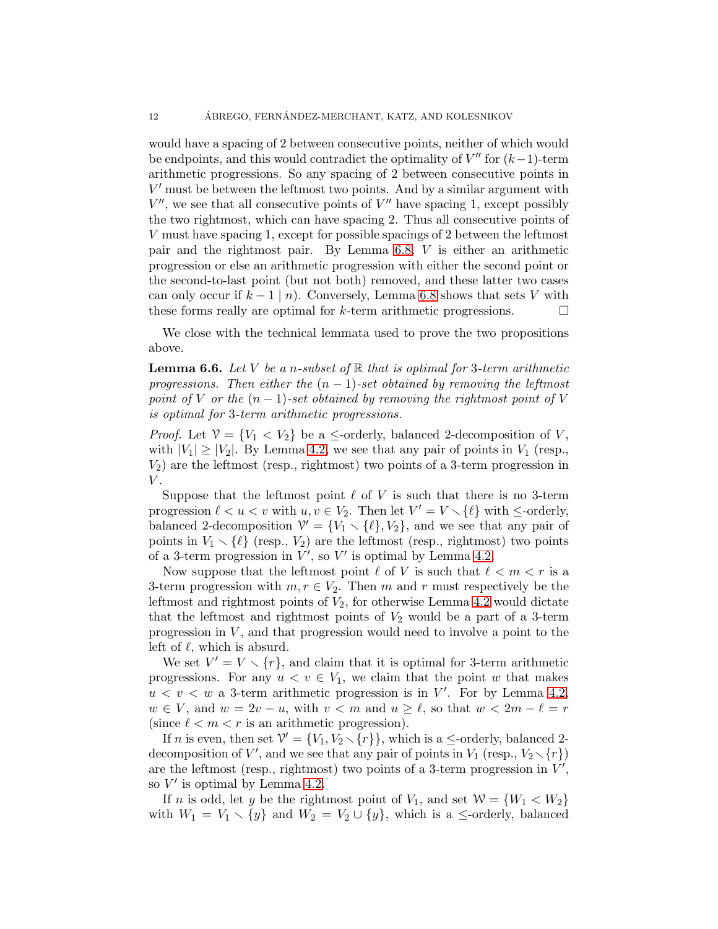would have a spacing of 2 between consecutive points, neither of which would be endpoints, and this would contradict the optimality of  $V''$  for  $(k-1)$ -term arithmetic progressions. So any spacing of 2 between consecutive points in V ′ must be between the leftmost two points. And by a similar argument with  $V''$ , we see that all consecutive points of  $V''$  have spacing 1, except possibly the two rightmost, which can have spacing 2. Thus all consecutive points of V must have spacing 1, except for possible spacings of 2 between the leftmost pair and the rightmost pair. By Lemma [6.8,](#page-12-1) V is either an arithmetic progression or else an arithmetic progression with either the second point or the second-to-last point (but not both) removed, and these latter two cases can only occur if  $k - 1 \mid n$ ). Conversely, Lemma [6.8](#page-12-1) shows that sets V with these forms really are optimal for k-term arithmetic progressions. these forms really are optimal for k-term arithmetic progressions.

We close with the technical lemmata used to prove the two propositions above.

<span id="page-11-0"></span>Lemma 6.6. *Let* V *be a* n*-subset of* R *that is optimal for* 3*-term arithmetic progressions. Then either the*  $(n-1)$ *-set obtained by removing the leftmost point of* V *or the*  $(n-1)$ *-set obtained by removing the rightmost point of* V *is optimal for* 3*-term arithmetic progressions.*

*Proof.* Let  $V = \{V_1 < V_2\}$  be a  $\leq$ -orderly, balanced 2-decomposition of V, with  $|V_1| \geq |V_2|$ . By Lemma [4.2,](#page-6-2) we see that any pair of points in  $V_1$  (resp.,  $V_2$ ) are the leftmost (resp., rightmost) two points of a 3-term progression in  $V$ .

Suppose that the leftmost point  $\ell$  of V is such that there is no 3-term progression  $\ell < u < v$  with  $u, v \in V_2$ . Then let  $V' = V \setminus {\ell}$  with  $\leq$ -orderly, balanced 2-decomposition  $\mathcal{V}' = \{V_1 \setminus \{\ell\}, V_2\}$ , and we see that any pair of points in  $V_1 \setminus {\ell}$  (resp.,  $V_2$ ) are the leftmost (resp., rightmost) two points of a 3-term progression in  $V'$ , so  $V'$  is optimal by Lemma [4.2.](#page-6-2)

Now suppose that the leftmost point  $\ell$  of V is such that  $\ell < m < r$  is a 3-term progression with  $m, r \in V_2$ . Then m and r must respectively be the leftmost and rightmost points of  $V_2$ , for otherwise Lemma [4.2](#page-6-2) would dictate that the leftmost and rightmost points of  $V_2$  would be a part of a 3-term progression in  $V$ , and that progression would need to involve a point to the left of  $\ell$ , which is absurd.

We set  $V' = V \setminus \{r\}$ , and claim that it is optimal for 3-term arithmetic progressions. For any  $u < v \in V_1$ , we claim that the point w that makes  $u < v < w$  a 3-term arithmetic progression is in V'. For by Lemma [4.2,](#page-6-2)  $w \in V$ , and  $w = 2v - u$ , with  $v < m$  and  $u \ge \ell$ , so that  $w < 2m - \ell = r$ (since  $\ell < m < r$  is an arithmetic progression).

If *n* is even, then set  $\mathcal{V}' = \{V_1, V_2 \setminus \{r\}\}\$ , which is a  $\leq$ -orderly, balanced 2decomposition of V', and we see that any pair of points in  $V_1$  (resp.,  $V_2 \setminus \{r\}$ ) are the leftmost (resp., rightmost) two points of a 3-term progression in  $V'$ , so  $V'$  is optimal by Lemma [4.2.](#page-6-2)

If *n* is odd, let *y* be the rightmost point of  $V_1$ , and set  $W = \{W_1 < W_2\}$ with  $W_1 = V_1 \setminus \{y\}$  and  $W_2 = V_2 \cup \{y\}$ , which is a  $\le$ -orderly, balanced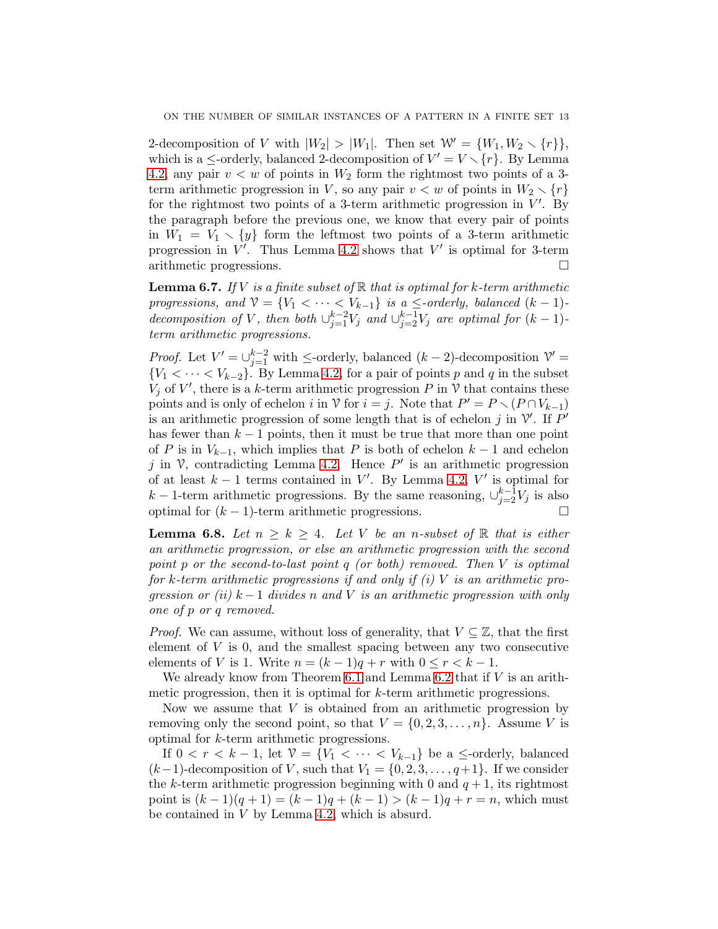2-decomposition of V with  $|W_2| > |W_1|$ . Then set  $\mathcal{W}' = \{W_1, W_2 \setminus \{r\}\},\$ which is a  $\le$ -orderly, balanced 2-decomposition of  $V' = V \setminus \{r\}$ . By Lemma [4.2,](#page-6-2) any pair  $v < w$  of points in  $W_2$  form the rightmost two points of a 3term arithmetic progression in V, so any pair  $v < w$  of points in  $W_2 \setminus \{r\}$ for the rightmost two points of a 3-term arithmetic progression in  $V'$ . By the paragraph before the previous one, we know that every pair of points in  $W_1 = V_1 \setminus \{y\}$  form the leftmost two points of a 3-term arithmetic progression in  $V'$ . Thus Lemma [4.2](#page-6-2) shows that  $V'$  is optimal for 3-term arithmetic progressions.

<span id="page-12-0"></span>Lemma 6.7. *If* V *is a finite subset of* R *that is optimal for* k*-term arithmetic progressions, and*  $V = \{V_1 < \cdots < V_{k-1}\}\$  *is a*  $\le$ *-orderly, balanced*  $(k-1)$ *decomposition of V*, *then both*  $\bigcup_{j=1}^{k-2}V_j$  *and*  $\bigcup_{j=2}^{k-1}V_j$  *are optimal for*  $(k-1)$ *term arithmetic progressions.*

*Proof.* Let  $V' = \bigcup_{j=1}^{k-2}$  with  $\leq$ -orderly, balanced  $(k-2)$ -decomposition  $V' =$  ${V_1 < \cdots < V_{k-2}}$ . By Lemma [4.2,](#page-6-2) for a pair of points p and q in the subset  $V_j$  of V', there is a k-term arithmetic progression P in V that contains these points and is only of echelon i in  $\mathcal V$  for  $i = j$ . Note that  $P' = P \setminus (P \cap V_{k-1})$ is an arithmetic progression of some length that is of echelon  $j$  in  $V'$ . If  $P'$ has fewer than  $k-1$  points, then it must be true that more than one point of P is in  $V_{k-1}$ , which implies that P is both of echelon  $k-1$  and echelon j in  $\mathcal{V}$ , contradicting Lemma [4.2.](#page-6-2) Hence  $P'$  is an arithmetic progression of at least  $k-1$  terms contained in V'. By Lemma [4.2,](#page-6-2) V' is optimal for  $k-1$ -term arithmetic progressions. By the same reasoning,  $\cup_{j=2}^{k-1} V_j$  is also optimal for  $(k - 1)$ -term arithmetic progressions.

<span id="page-12-1"></span>**Lemma 6.8.** Let  $n \geq k \geq 4$ . Let V be an n-subset of R that is either *an arithmetic progression, or else an arithmetic progression with the second point* p *or the second-to-last point* q *(or both) removed. Then* V *is optimal for* k*-term arithmetic progressions if and only if (i)* V *is an arithmetic progression or (ii)* k − 1 *divides* n *and* V *is an arithmetic progression with only one of* p *or* q *removed.*

*Proof.* We can assume, without loss of generality, that  $V \subseteq \mathbb{Z}$ , that the first element of  $V$  is 0, and the smallest spacing between any two consecutive elements of V is 1. Write  $n = (k-1)q + r$  with  $0 \le r < k-1$ .

We already know from Theorem  $6.1$  and Lemma  $6.2$  that if  $V$  is an arithmetic progression, then it is optimal for k-term arithmetic progressions.

Now we assume that  $V$  is obtained from an arithmetic progression by removing only the second point, so that  $V = \{0, 2, 3, ..., n\}$ . Assume V is optimal for k-term arithmetic progressions.

If  $0 < r < k - 1$ , let  $\mathcal{V} = \{V_1 < \cdots < V_{k-1}\}\$  be a  $\le$ -orderly, balanced  $(k-1)$ -decomposition of V, such that  $V_1 = \{0, 2, 3, \ldots, q+1\}$ . If we consider the k-term arithmetic progression beginning with 0 and  $q + 1$ , its rightmost point is  $(k-1)(q+1) = (k-1)q + (k-1) > (k-1)q + r = n$ , which must be contained in V by Lemma [4.2,](#page-6-2) which is absurd.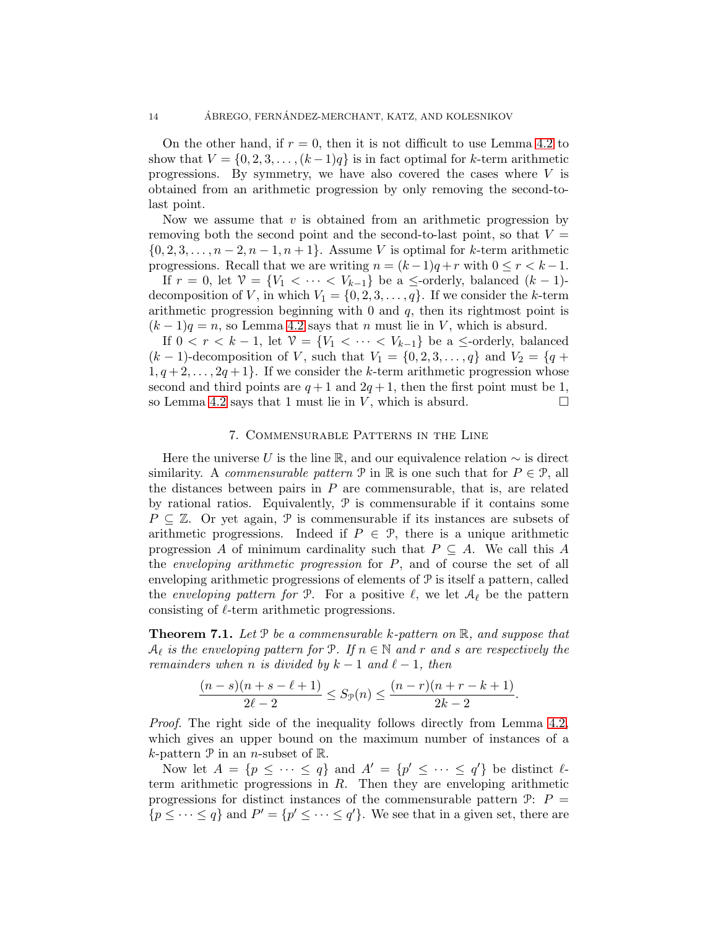On the other hand, if  $r = 0$ , then it is not difficult to use Lemma [4.2](#page-6-2) to show that  $V = \{0, 2, 3, \ldots, (k-1)q\}$  is in fact optimal for k-term arithmetic progressions. By symmetry, we have also covered the cases where  $V$  is obtained from an arithmetic progression by only removing the second-tolast point.

Now we assume that  $v$  is obtained from an arithmetic progression by removing both the second point and the second-to-last point, so that  $V =$  ${0, 2, 3, \ldots, n-2, n-1, n+1}$ . Assume V is optimal for k-term arithmetic progressions. Recall that we are writing  $n = (k-1)q + r$  with  $0 \le r < k-1$ .

If  $r = 0$ , let  $\mathcal{V} = \{V_1 < \cdots < V_{k-1}\}$  be a  $\leq$ -orderly, balanced  $(k-1)$ decomposition of V, in which  $V_1 = \{0, 2, 3, \ldots, q\}$ . If we consider the k-term arithmetic progression beginning with  $0$  and  $q$ , then its rightmost point is  $(k-1)q = n$ , so Lemma [4.2](#page-6-2) says that n must lie in V, which is absurd.

If  $0 < r < k-1$ , let  $\mathcal{V} = \{V_1 < \cdots < V_{k-1}\}\$  be a  $\leq$ -orderly, balanced  $(k-1)$ -decomposition of V, such that  $V_1 = \{0, 2, 3, \ldots, q\}$  and  $V_2 = \{q +$  $1, q+2, \ldots, 2q+1$ . If we consider the k-term arithmetic progression whose second and third points are  $q+1$  and  $2q+1$ , then the first point must be 1, so Lemma [4.2](#page-6-2) says that 1 must lie in V, which is absurd.  $\square$ 

# 7. Commensurable Patterns in the Line

<span id="page-13-0"></span>Here the universe U is the line R, and our equivalence relation  $\sim$  is direct similarity. A *commensurable pattern*  $\mathcal{P}$  in  $\mathbb{R}$  is one such that for  $P \in \mathcal{P}$ , all the distances between pairs in  $P$  are commensurable, that is, are related by rational ratios. Equivalently,  $P$  is commensurable if it contains some  $P \subseteq \mathbb{Z}$ . Or yet again, P is commensurable if its instances are subsets of arithmetic progressions. Indeed if  $P \in \mathcal{P}$ , there is a unique arithmetic progression A of minimum cardinality such that  $P \subseteq A$ . We call this A the *enveloping arithmetic progression* for P, and of course the set of all enveloping arithmetic progressions of elements of P is itself a pattern, called the *enveloping pattern for*  $\mathcal{P}$ . For a positive  $\ell$ , we let  $\mathcal{A}_{\ell}$  be the pattern consisting of  $\ell$ -term arithmetic progressions.

<span id="page-13-1"></span>Theorem 7.1. *Let* P *be a commensurable* k*-pattern on* R*, and suppose that*  $A_{\ell}$  is the enveloping pattern for  $P$ . If  $n \in \mathbb{N}$  and r and s are respectively the *remainders when n is divided by*  $k - 1$  *and*  $\ell - 1$ *, then* 

$$
\frac{(n-s)(n+s-\ell+1)}{2\ell-2} \leq S_{\mathcal{P}}(n) \leq \frac{(n-r)(n+r-k+1)}{2k-2}.
$$

*Proof.* The right side of the inequality follows directly from Lemma [4.2,](#page-6-2) which gives an upper bound on the maximum number of instances of a k-pattern  $P$  in an *n*-subset of  $\mathbb{R}$ .

Now let  $A = \{p \leq \cdots \leq q\}$  and  $A' = \{p' \leq \cdots \leq q'\}$  be distinct  $\ell$ term arithmetic progressions in  $R$ . Then they are enveloping arithmetic progressions for distinct instances of the commensurable pattern  $\mathcal{P}$ :  $P =$  $\{p \leq \cdots \leq q\}$  and  $P' = \{p' \leq \cdots \leq q'\}$ . We see that in a given set, there are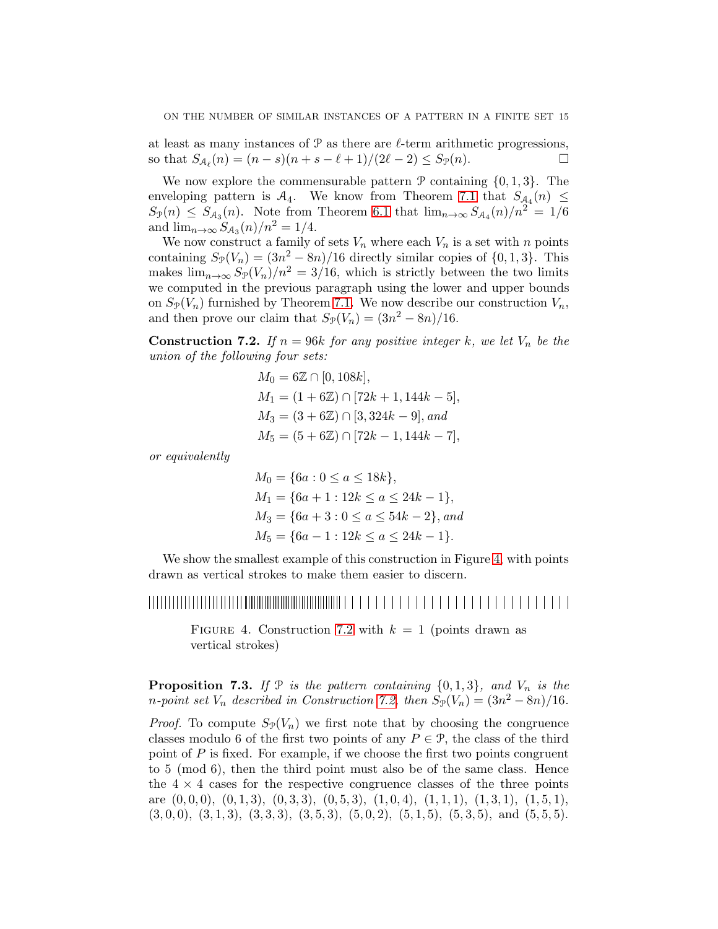at least as many instances of  $P$  as there are  $\ell$ -term arithmetic progressions, so that  $S_{\mathcal{A}_{\ell}}(n) = (n - s)(n + s - \ell + 1)/(2\ell - 2) \le S_{\mathcal{P}}(n)$ .

We now explore the commensurable pattern  $P$  containing  $\{0, 1, 3\}$ . The enveloping pattern is  $A_4$ . We know from Theorem [7.1](#page-13-1) that  $S_{A_4}(n) \leq$  $S_{\mathcal{P}}(n) \leq S_{\mathcal{A}_3}(n)$ . Note from Theorem [6.1](#page-7-4) that  $\lim_{n\to\infty} S_{\mathcal{A}_4}(n)/n^2 = 1/6$ and  $\lim_{n \to \infty} S_{\mathcal{A}_3}(n)/n^2 = 1/4.$ 

We now construct a family of sets  $V_n$  where each  $V_n$  is a set with n points containing  $S_{\mathcal{P}}(V_n) = (3n^2 - 8n)/16$  directly similar copies of  $\{0, 1, 3\}$ . This makes  $\lim_{n\to\infty} S_p(V_n)/n^2 = 3/16$ , which is strictly between the two limits we computed in the previous paragraph using the lower and upper bounds on  $S_{\mathcal{P}}(V_n)$  furnished by Theorem [7.1.](#page-13-1) We now describe our construction  $V_n$ , and then prove our claim that  $S_{\mathcal{P}}(V_n) = (3n^2 - 8n)/16$ .

<span id="page-14-1"></span>**Construction 7.2.** *If*  $n = 96k$  *for any positive integer k, we let*  $V_n$  *be the union of the following four sets:*

$$
M_0 = 6\mathbb{Z} \cap [0, 108k],
$$
  
\n
$$
M_1 = (1 + 6\mathbb{Z}) \cap [72k + 1, 144k - 5],
$$
  
\n
$$
M_3 = (3 + 6\mathbb{Z}) \cap [3, 324k - 9], and
$$
  
\n
$$
M_5 = (5 + 6\mathbb{Z}) \cap [72k - 1, 144k - 7],
$$

*or equivalently*

 $M_0 = \{6a : 0 \le a \le 18k\},\$  $M_1 = \{6a + 1 : 12k \le a \le 24k - 1\},\$  $M_3 = \{6a + 3 : 0 \le a \le 54k - 2\}, and$  $M_5 = \{6a - 1 : 12k \le a \le 24k - 1\}.$ 

We show the smallest example of this construction in Figure [4,](#page-14-0) with points drawn as vertical strokes to make them easier to discern.

# 

<span id="page-14-0"></span>FIGURE 4. Construction [7.2](#page-14-1) with  $k = 1$  (points drawn as vertical strokes)

**Proposition 7.3.** If  $P$  *is the pattern containing*  $\{0, 1, 3\}$ *, and*  $V_n$  *is the*  $n$ -point set  $V_n$  described in Construction [7.2,](#page-14-1) then  $S_{\mathcal{P}}(V_n) = (3n^2 - 8n)/16$ .

*Proof.* To compute  $S_{\mathcal{P}}(V_n)$  we first note that by choosing the congruence classes modulo 6 of the first two points of any  $P \in \mathcal{P}$ , the class of the third point of  $P$  is fixed. For example, if we choose the first two points congruent to 5 (mod 6), then the third point must also be of the same class. Hence the  $4 \times 4$  cases for the respective congruence classes of the three points are  $(0, 0, 0), (0, 1, 3), (0, 3, 3), (0, 5, 3), (1, 0, 4), (1, 1, 1), (1, 3, 1), (1, 5, 1),$  $(3, 0, 0), (3, 1, 3), (3, 3, 3), (3, 5, 3), (5, 0, 2), (5, 1, 5), (5, 3, 5), \text{ and } (5, 5, 5).$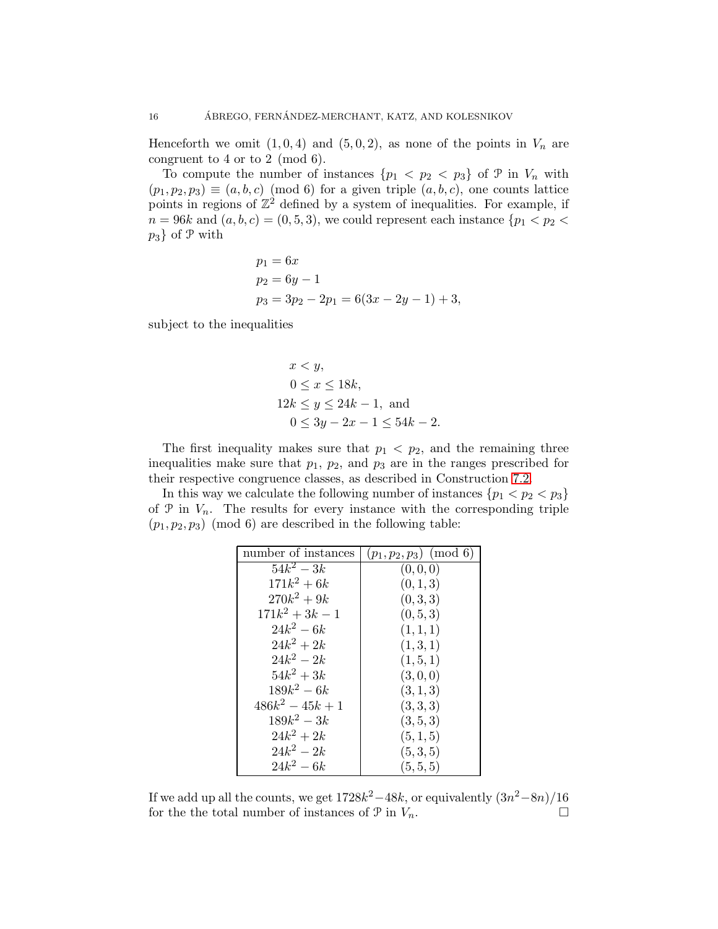Henceforth we omit  $(1, 0, 4)$  and  $(5, 0, 2)$ , as none of the points in  $V_n$  are congruent to 4 or to 2 (mod 6).

To compute the number of instances  $\{p_1 < p_2 < p_3\}$  of  $\mathcal{P}$  in  $V_n$  with  $(p_1, p_2, p_3) \equiv (a, b, c) \pmod{6}$  for a given triple  $(a, b, c)$ , one counts lattice points in regions of  $\mathbb{Z}^2$  defined by a system of inequalities. For example, if  $n = 96k$  and  $(a, b, c) = (0, 5, 3)$ , we could represent each instance  $\{p_1 < p_2 < c\}$  $p_3$  of P with

$$
p_1 = 6x
$$
  
\n
$$
p_2 = 6y - 1
$$
  
\n
$$
p_3 = 3p_2 - 2p_1 = 6(3x - 2y - 1) + 3,
$$

subject to the inequalities

$$
x < y,
$$
  
\n
$$
0 \le x \le 18k,
$$
  
\n
$$
12k \le y \le 24k - 1, \text{ and}
$$
  
\n
$$
0 \le 3y - 2x - 1 \le 54k - 2.
$$

The first inequality makes sure that  $p_1 < p_2$ , and the remaining three inequalities make sure that  $p_1$ ,  $p_2$ , and  $p_3$  are in the ranges prescribed for their respective congruence classes, as described in Construction [7.2.](#page-14-1)

In this way we calculate the following number of instances  $\{p_1 < p_2 < p_3\}$ of  $P$  in  $V_n$ . The results for every instance with the corresponding triple  $(p_1, p_2, p_3) \pmod{6}$  are described in the following table:

| number of instances | $(p_1, p_2, p_3) \pmod{6}$ |  |  |
|---------------------|----------------------------|--|--|
| $54k^2 - 3k$        | (0,0,0)                    |  |  |
| $171k^2 + 6k$       | (0, 1, 3)                  |  |  |
| $270k^2 + 9k$       | (0,3,3)                    |  |  |
| $171k^2 + 3k - 1$   | (0, 5, 3)                  |  |  |
| $24k^2 - 6k$        | (1,1,1)                    |  |  |
| $24k^2 + 2k$        | (1,3,1)                    |  |  |
| $24k^2 - 2k$        | (1, 5, 1)                  |  |  |
| $54k^2 + 3k$        | (3,0,0)                    |  |  |
| $189k^2 - 6k$       | (3,1,3)                    |  |  |
| $486k^2 - 45k + 1$  | (3,3,3)                    |  |  |
| $189k^2 - 3k$       | (3, 5, 3)                  |  |  |
| $24k^2 + 2k$        | (5,1,5)                    |  |  |
| $24k^2 - 2k$        | (5,3,5)                    |  |  |
| $24k^2 - 6k$        | (5, 5, 5)                  |  |  |

If we add up all the counts, we get  $1728k^2 - 48k$ , or equivalently  $(3n^2 - 8n)/16$ for the total number of instances of  $\mathcal{P}$  in  $V_n$ .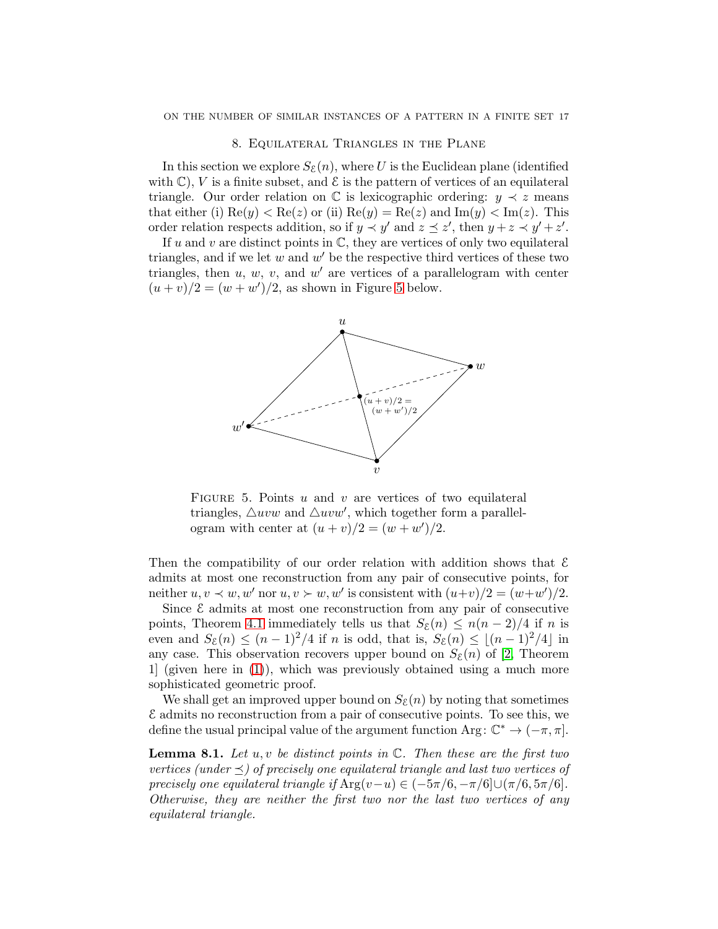#### 8. Equilateral Triangles in the Plane

<span id="page-16-0"></span>In this section we explore  $S_{\mathcal{E}}(n)$ , where U is the Euclidean plane (identified with  $\mathbb{C}$ ), V is a finite subset, and  $\mathcal{E}$  is the pattern of vertices of an equilateral triangle. Our order relation on  $\mathbb C$  is lexicographic ordering:  $y \prec z$  means that either (i)  $\text{Re}(y) < \text{Re}(z)$  or (ii)  $\text{Re}(y) = \text{Re}(z)$  and  $\text{Im}(y) < \text{Im}(z)$ . This order relation respects addition, so if  $y \prec y'$  and  $z \preceq z'$ , then  $y + z \prec y' + z'$ .

If u and v are distinct points in  $\mathbb{C}$ , they are vertices of only two equilateral triangles, and if we let  $w$  and  $w'$  be the respective third vertices of these two triangles, then  $u, w, v$ , and  $w'$  are vertices of a parallelogram with center  $(u + v)/2 = (w + w')/2$ , as shown in Figure [5](#page-16-2) below.



<span id="page-16-2"></span>FIGURE 5. Points u and v are vertices of two equilateral triangles,  $\triangle uvw$  and  $\triangle uvw'$ , which together form a parallelogram with center at  $(u + v)/2 = (w + w')/2$ .

Then the compatibility of our order relation with addition shows that  $\mathcal E$ admits at most one reconstruction from any pair of consecutive points, for neither  $u, v \prec w, w'$  nor  $u, v \succ w, w'$  is consistent with  $(u+v)/2 = (w+w')/2$ .

Since  $\mathcal E$  admits at most one reconstruction from any pair of consecutive points, Theorem [4.1](#page-6-1) immediately tells us that  $S_{\mathcal{E}}(n) \leq n(n-2)/4$  if n is even and  $S_{\mathcal{E}}(n) \leq (n-1)^2/4$  if n is odd, that is,  $S_{\mathcal{E}}(n) \leq |(n-1)^2/4|$  in any case. This observation recovers upper bound on  $S_{\mathcal{E}}(n)$  of [\[2,](#page-22-12) Theorem 1] (given here in [\(1\)](#page-1-1)), which was previously obtained using a much more sophisticated geometric proof.

We shall get an improved upper bound on  $S_{\mathcal{E}}(n)$  by noting that sometimes E admits no reconstruction from a pair of consecutive points. To see this, we define the usual principal value of the argument function Arg:  $\mathbb{C}^* \to (-\pi, \pi]$ .

<span id="page-16-1"></span>Lemma 8.1. *Let* u, v *be distinct points in* C*. Then these are the first two vertices (under ) of precisely one equilateral triangle and last two vertices of precisely one equilateral triangle if*  $Arg(v-u) \in (-5\pi/6, -\pi/6] \cup (\pi/6, 5\pi/6]$ . *Otherwise, they are neither the first two nor the last two vertices of any equilateral triangle.*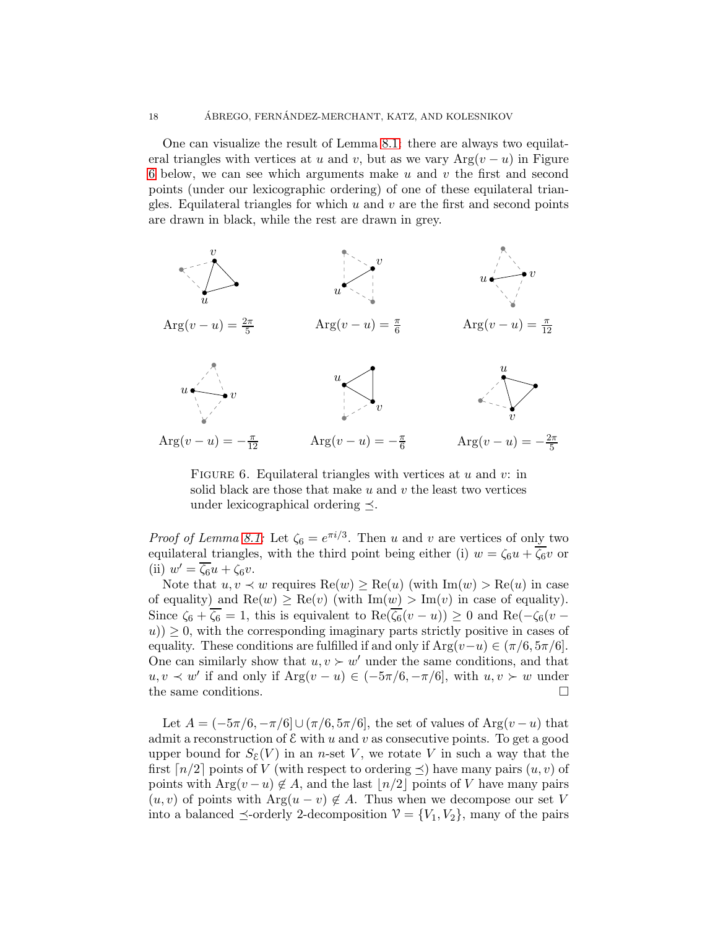One can visualize the result of Lemma [8.1:](#page-16-1) there are always two equilateral triangles with vertices at u and v, but as we vary  $Arg(v - u)$  in Figure [6](#page-17-0) below, we can see which arguments make  $u$  and  $v$  the first and second points (under our lexicographic ordering) of one of these equilateral triangles. Equilateral triangles for which  $u$  and  $v$  are the first and second points are drawn in black, while the rest are drawn in grey.



<span id="page-17-0"></span>FIGURE 6. Equilateral triangles with vertices at  $u$  and  $v$ : in solid black are those that make  $u$  and  $v$  the least two vertices under lexicographical ordering  $\preceq$ .

*Proof of Lemma [8.1:](#page-16-1)* Let  $\zeta_6 = e^{\pi i/3}$ . Then u and v are vertices of only two equilateral triangles, with the third point being either (i)  $w = \zeta_6 u + \overline{\zeta_6} v$  or (ii)  $w' = \zeta_6 u + \zeta_6 v$ .

Note that  $u, v \prec w$  requires  $\text{Re}(w) \ge \text{Re}(u)$  (with  $\text{Im}(w) > \text{Re}(u)$  in case of equality) and  $\text{Re}(w) \ge \text{Re}(v)$  (with  $\text{Im}(w) > \text{Im}(v)$  in case of equality). Since  $\zeta_6 + \zeta_6 = 1$ , this is equivalent to  $\text{Re}(\zeta_6(v - u)) \geq 0$  and  $\text{Re}(-\zeta_6(v - u))$  $(u)$ )  $\geq$  0, with the corresponding imaginary parts strictly positive in cases of equality. These conditions are fulfilled if and only if  $Arg(v-u) \in (\pi/6, 5\pi/6]$ . One can similarly show that  $u, v \succ w'$  under the same conditions, and that  $u, v \prec w'$  if and only if  $Arg(v - u) \in (-5\pi/6, -\pi/6]$ , with  $u, v \succ w$  under the same conditions.  $\Box$ 

Let  $A = (-5\pi/6, -\pi/6] \cup (\pi/6, 5\pi/6]$ , the set of values of Arg $(v - u)$  that admit a reconstruction of  $\mathcal E$  with u and v as consecutive points. To get a good upper bound for  $S_{\mathcal{E}}(V)$  in an *n*-set V, we rotate V in such a way that the first  $\lceil n/2 \rceil$  points of V (with respect to ordering  $\preceq$ ) have many pairs  $(u, v)$  of points with Arg $(v - u) \notin A$ , and the last  $\lfloor n/2 \rfloor$  points of V have many pairs  $(u, v)$  of points with Arg $(u - v) \notin A$ . Thus when we decompose our set V into a balanced  $\preceq$ -orderly 2-decomposition  $V = \{V_1, V_2\}$ , many of the pairs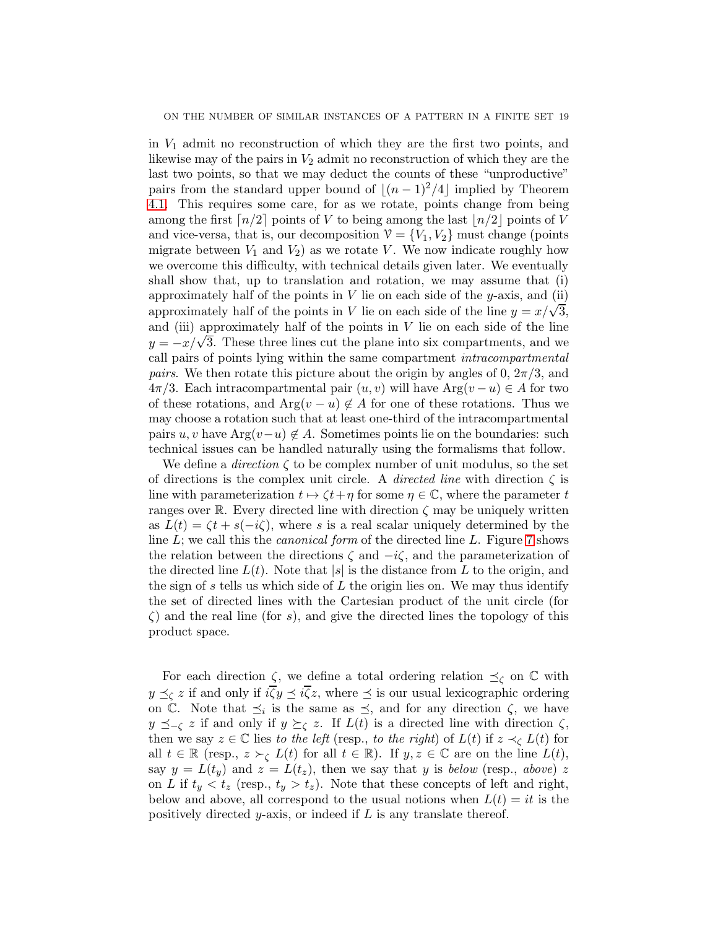in  $V_1$  admit no reconstruction of which they are the first two points, and likewise may of the pairs in  $V_2$  admit no reconstruction of which they are the last two points, so that we may deduct the counts of these "unproductive" pairs from the standard upper bound of  $|(n-1)^2/4|$  implied by Theorem [4.1.](#page-6-1) This requires some care, for as we rotate, points change from being among the first  $\lceil n/2 \rceil$  points of V to being among the last  $\lceil n/2 \rceil$  points of V and vice-versa, that is, our decomposition  $V = \{V_1, V_2\}$  must change (points migrate between  $V_1$  and  $V_2$ ) as we rotate V. We now indicate roughly how we overcome this difficulty, with technical details given later. We eventually shall show that, up to translation and rotation, we may assume that (i) approximately half of the points in  $V$  lie on each side of the y-axis, and (ii) approximately half of the points in V lie on each side of the line  $y = x/\sqrt{3}$ , and (iii) approximately half of the points in  $V$  lie on each side of the line  $y = -x/\sqrt{3}$ . These three lines cut the plane into six compartments, and we call pairs of points lying within the same compartment *intracompartmental pairs*. We then rotate this picture about the origin by angles of 0,  $2\pi/3$ , and  $4\pi/3$ . Each intracompartmental pair  $(u, v)$  will have  $Arg(v - u) \in A$  for two of these rotations, and  $Arg(v - u) \notin A$  for one of these rotations. Thus we may choose a rotation such that at least one-third of the intracompartmental pairs u, v have Arg $(v-u) \notin A$ . Sometimes points lie on the boundaries: such technical issues can be handled naturally using the formalisms that follow.

We define a *direction*  $\zeta$  to be complex number of unit modulus, so the set of directions is the complex unit circle. A *directed line* with direction ζ is line with parameterization  $t \mapsto \zeta t + \eta$  for some  $\eta \in \mathbb{C}$ , where the parameter t ranges over R. Every directed line with direction  $\zeta$  may be uniquely written as  $L(t) = \zeta t + s(-i\zeta)$ , where s is a real scalar uniquely determined by the line L; we call this the *canonical form* of the directed line L. Figure [7](#page-19-0) shows the relation between the directions  $\zeta$  and  $-i\zeta$ , and the parameterization of the directed line  $L(t)$ . Note that  $|s|$  is the distance from L to the origin, and the sign of  $s$  tells us which side of  $L$  the origin lies on. We may thus identify the set of directed lines with the Cartesian product of the unit circle (for  $\zeta$ ) and the real line (for s), and give the directed lines the topology of this product space.

For each direction  $\zeta$ , we define a total ordering relation  $\preceq_{\zeta}$  on  $\mathbb C$  with  $y \preceq_{\zeta} z$  if and only if  $i\overline{\zeta}y \preceq i\overline{\zeta}z$ , where  $\preceq$  is our usual lexicographic ordering on C. Note that  $\preceq_i$  is the same as  $\preceq$ , and for any direction  $\zeta$ , we have  $y \preceq_{-\zeta} z$  if and only if  $y \succeq_{\zeta} z$ . If  $L(t)$  is a directed line with direction  $\zeta$ , then we say  $z \in \mathbb{C}$  lies *to the left* (resp., *to the right*) of  $L(t)$  if  $z \prec_{\zeta} L(t)$  for all  $t \in \mathbb{R}$  (resp.,  $z \succ_{\zeta} L(t)$  for all  $t \in \mathbb{R}$ ). If  $y, z \in \mathbb{C}$  are on the line  $L(t)$ , say  $y = L(t_y)$  and  $z = L(t_z)$ , then we say that y is *below* (resp., *above*) z on L if  $t_y < t_z$  (resp.,  $t_y > t_z$ ). Note that these concepts of left and right, below and above, all correspond to the usual notions when  $L(t) = it$  is the positively directed y-axis, or indeed if  $L$  is any translate thereof.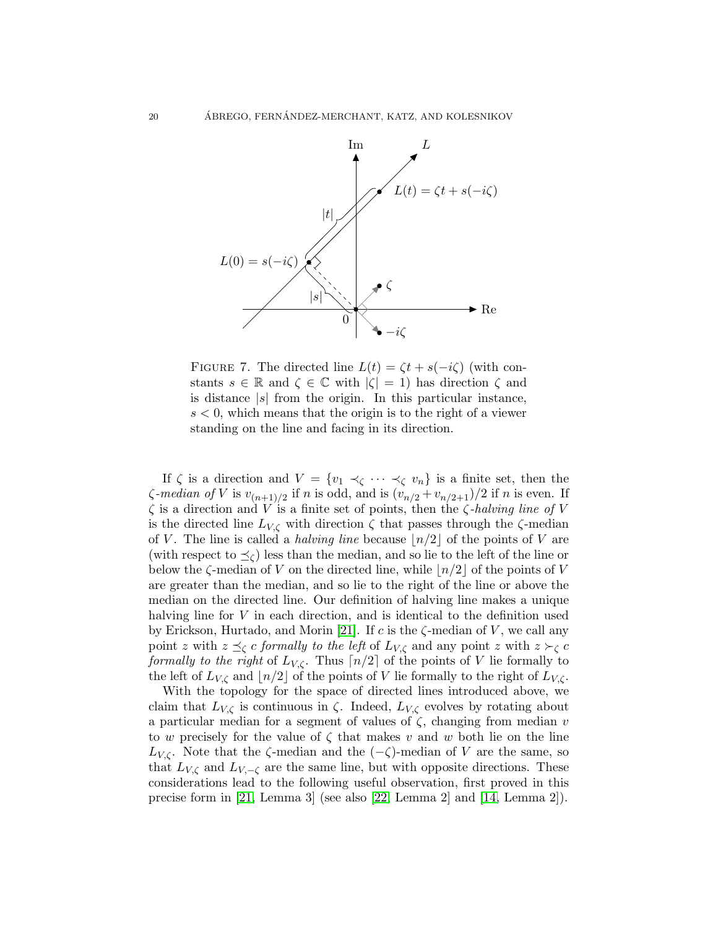

<span id="page-19-0"></span>FIGURE 7. The directed line  $L(t) = \zeta t + s(-i\zeta)$  (with constants  $s \in \mathbb{R}$  and  $\zeta \in \mathbb{C}$  with  $|\zeta| = 1$ ) has direction  $\zeta$  and is distance  $|s|$  from the origin. In this particular instance,  $s < 0$ , which means that the origin is to the right of a viewer standing on the line and facing in its direction.

If  $\zeta$  is a direction and  $V = \{v_1 \prec_{\zeta} \cdots \prec_{\zeta} v_n\}$  is a finite set, then the  $\zeta$ -median of V is  $v_{(n+1)/2}$  if n is odd, and is  $(v_{n/2} + v_{n/2+1})/2$  if n is even. If ζ is a direction and V is a finite set of points, then the ζ*-halving line of* V is the directed line  $L_{V,\zeta}$  with direction  $\zeta$  that passes through the  $\zeta$ -median of V. The line is called a *halving line* because  $\lfloor n/2 \rfloor$  of the points of V are (with respect to  $\preceq_{\zeta}$ ) less than the median, and so lie to the left of the line or below the  $\zeta$ -median of V on the directed line, while  $\lfloor n/2 \rfloor$  of the points of V are greater than the median, and so lie to the right of the line or above the median on the directed line. Our definition of halving line makes a unique halving line for V in each direction, and is identical to the definition used by Erickson, Hurtado, and Morin [\[21\]](#page-23-14). If c is the  $\zeta$ -median of V, we call any point z with  $z \preceq_{\zeta} c$  *formally to the left* of  $L_{V,\zeta}$  and any point z with  $z \succ_{\zeta} c$ *formally to the right* of  $L_{V,\zeta}$ . Thus  $\lceil n/2 \rceil$  of the points of V lie formally to the left of  $L_{V,\zeta}$  and  $\lfloor n/2 \rfloor$  of the points of V lie formally to the right of  $L_{V,\zeta}$ .

With the topology for the space of directed lines introduced above, we claim that  $L_{V,\zeta}$  is continuous in  $\zeta$ . Indeed,  $L_{V,\zeta}$  evolves by rotating about a particular median for a segment of values of  $\zeta$ , changing from median v to w precisely for the value of  $\zeta$  that makes v and w both lie on the line  $L_{V,\zeta}$ . Note that the  $\zeta$ -median and the  $(-\zeta)$ -median of V are the same, so that  $L_{V,\zeta}$  and  $L_{V,-\zeta}$  are the same line, but with opposite directions. These considerations lead to the following useful observation, first proved in this precise form in [\[21,](#page-23-14) Lemma 3] (see also [\[22,](#page-23-13) Lemma 2] and [\[14,](#page-23-15) Lemma 2]).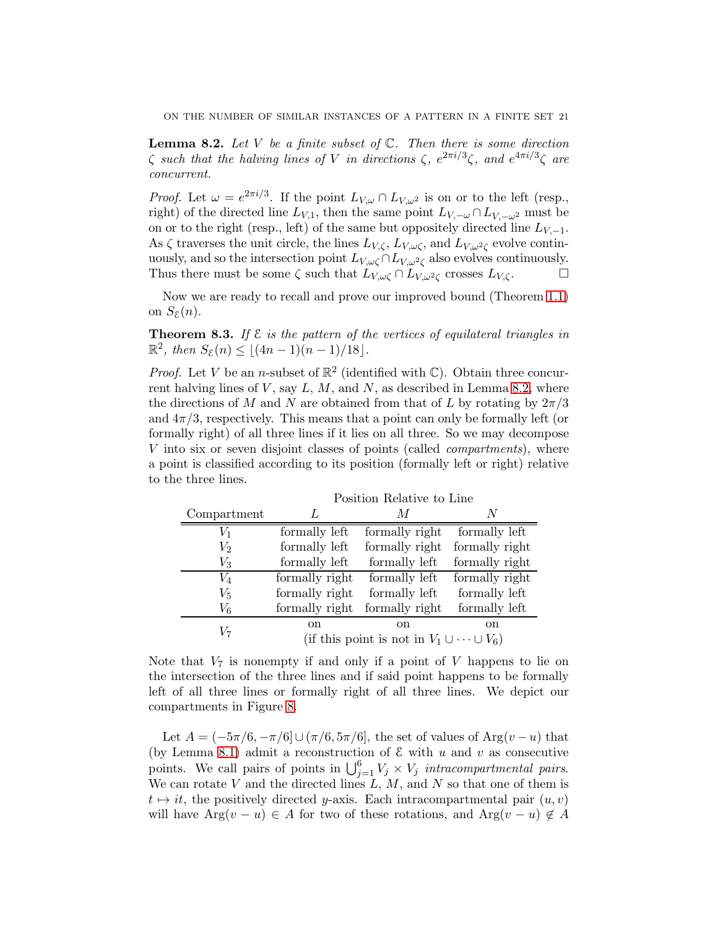<span id="page-20-0"></span>Lemma 8.2. *Let* V *be a finite subset of* C*. Then there is some direction*  $\zeta$  such that the halving lines of V in directions  $\zeta$ ,  $e^{2\pi i/3}\zeta$ , and  $e^{4\pi i/3}\zeta$  are *concurrent.*

*Proof.* Let  $\omega = e^{2\pi i/3}$ . If the point  $L_{V,\omega} \cap L_{V,\omega^2}$  is on or to the left (resp., right) of the directed line  $L_{V,1}$ , then the same point  $L_{V,-\omega} \cap L_{V,-\omega^2}$  must be on or to the right (resp., left) of the same but oppositely directed line  $L_{V,-1}$ . As  $\zeta$  traverses the unit circle, the lines  $L_{V,\zeta}$ ,  $L_{V,\omega\zeta}$ , and  $L_{V,\omega^2\zeta}$  evolve continuously, and so the intersection point  $L_{V,\omega\zeta} \cap L_{V,\omega^2\zeta}$  also evolves continuously. Thus there must be some  $\zeta$  such that  $L_{V,\omega\zeta} \cap L_{V,\omega^2\zeta}$  crosses  $L_{V,\zeta}$ .

Now we are ready to recall and prove our improved bound (Theorem [1.1\)](#page-2-1) on  $S_{\mathcal{E}}(n)$ .

Theorem 8.3. *If* E *is the pattern of the vertices of equilateral triangles in*  $\mathbb{R}^2$ , then  $S_{\mathcal{E}}(n) \leq \lfloor (4n-1)(n-1)/18 \rfloor$ .

*Proof.* Let V be an *n*-subset of  $\mathbb{R}^2$  (identified with  $\mathbb{C}$ ). Obtain three concurrent halving lines of  $V$ , say  $L, M$ , and  $N$ , as described in Lemma [8.2,](#page-20-0) where the directions of M and N are obtained from that of L by rotating by  $2\pi/3$ and  $4\pi/3$ , respectively. This means that a point can only be formally left (or formally right) of all three lines if it lies on all three. So we may decompose V into six or seven disjoint classes of points (called *compartments*), where a point is classified according to its position (formally left or right) relative to the three lines.

|             | т оргарда темперет во типо                            |                |                |  |
|-------------|-------------------------------------------------------|----------------|----------------|--|
| Compartment |                                                       | M              |                |  |
| $V_{1}$     | formally left                                         | formally right | formally left  |  |
| $\,V_2$     | formally left                                         | formally right | formally right |  |
| $V_{3}$     | formally left                                         | formally left  | formally right |  |
| $\,V_4$     | formally right                                        | formally left  | formally right |  |
| $V_{\rm 5}$ | formally right                                        | formally left  | formally left  |  |
| $V_{6}$     | formally right                                        | formally right | formally left  |  |
| V7          | <sub>on</sub>                                         | <sub>on</sub>  | <sub>on</sub>  |  |
|             | (if this point is not in $V_1 \cup \cdots \cup V_6$ ) |                |                |  |
|             |                                                       |                |                |  |

Position Relative to Line

Note that  $V_7$  is nonempty if and only if a point of V happens to lie on the intersection of the three lines and if said point happens to be formally left of all three lines or formally right of all three lines. We depict our compartments in Figure [8.](#page-21-0)

Let  $A = (-5\pi/6, -\pi/6] \cup (\pi/6, 5\pi/6]$ , the set of values of Arg $(v - u)$  that (by Lemma [8.1\)](#page-16-1) admit a reconstruction of  $\mathcal E$  with u and v as consecutive points. We call pairs of points in  $\bigcup_{j=1}^{6} V_j \times V_j$  *intracompartmental pairs.* We can rotate V and the directed lines  $L, M$ , and N so that one of them is  $t \mapsto it$ , the positively directed y-axis. Each intracompartmental pair  $(u, v)$ will have  $Arg(v - u) \in A$  for two of these rotations, and  $Arg(v - u) \notin A$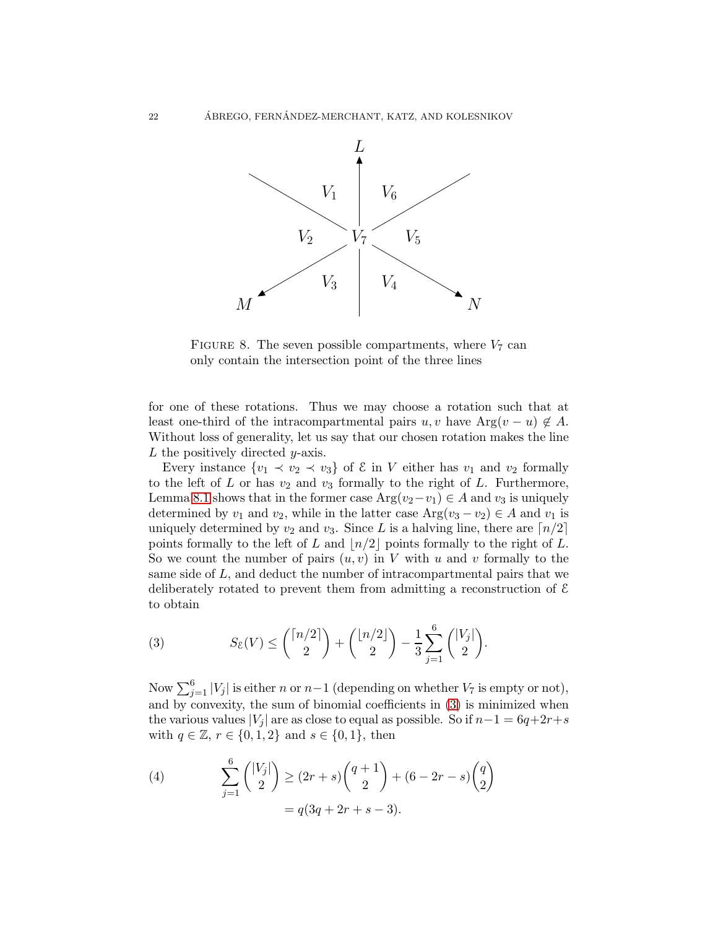

<span id="page-21-0"></span>FIGURE 8. The seven possible compartments, where  $V_7$  can only contain the intersection point of the three lines

for one of these rotations. Thus we may choose a rotation such that at least one-third of the intracompartmental pairs  $u, v$  have Arg $(v - u) \notin A$ . Without loss of generality, let us say that our chosen rotation makes the line  $L$  the positively directed *y*-axis.

Every instance  $\{v_1 \prec v_2 \prec v_3\}$  of  $\mathcal E$  in V either has  $v_1$  and  $v_2$  formally to the left of  $L$  or has  $v_2$  and  $v_3$  formally to the right of  $L$ . Furthermore, Lemma [8.1](#page-16-1) shows that in the former case  $Arg(v_2-v_1) \in A$  and  $v_3$  is uniquely determined by  $v_1$  and  $v_2$ , while in the latter case  $Arg(v_3 - v_2) \in A$  and  $v_1$  is uniquely determined by  $v_2$  and  $v_3$ . Since L is a halving line, there are  $\lceil n/2 \rceil$ points formally to the left of L and  $\lfloor n/2 \rfloor$  points formally to the right of L. So we count the number of pairs  $(u, v)$  in V with u and v formally to the same side of  $L$ , and deduct the number of intracompartmental pairs that we deliberately rotated to prevent them from admitting a reconstruction of  $\mathcal E$ to obtain

<span id="page-21-1"></span>(3) 
$$
S_{\mathcal{E}}(V) \le {n/2 \choose 2} + {n/2 \choose 2} - \frac{1}{3} \sum_{j=1}^{6} {|V_j| \choose 2}.
$$

Now  $\sum_{j=1}^{6} |V_j|$  is either n or  $n-1$  (depending on whether  $V_7$  is empty or not), and by convexity, the sum of binomial coefficients in [\(3\)](#page-21-1) is minimized when the various values |V<sub>i</sub>| are as close to equal as possible. So if  $n-1 = 6q+2r+s$ with  $q \in \mathbb{Z}$ ,  $r \in \{0, 1, 2\}$  and  $s \in \{0, 1\}$ , then

<span id="page-21-2"></span>(4) 
$$
\sum_{j=1}^{6} {\binom{|V_j|}{2}} \ge (2r+s){\binom{q+1}{2}} + (6-2r-s){\binom{q}{2}} = q(3q+2r+s-3).
$$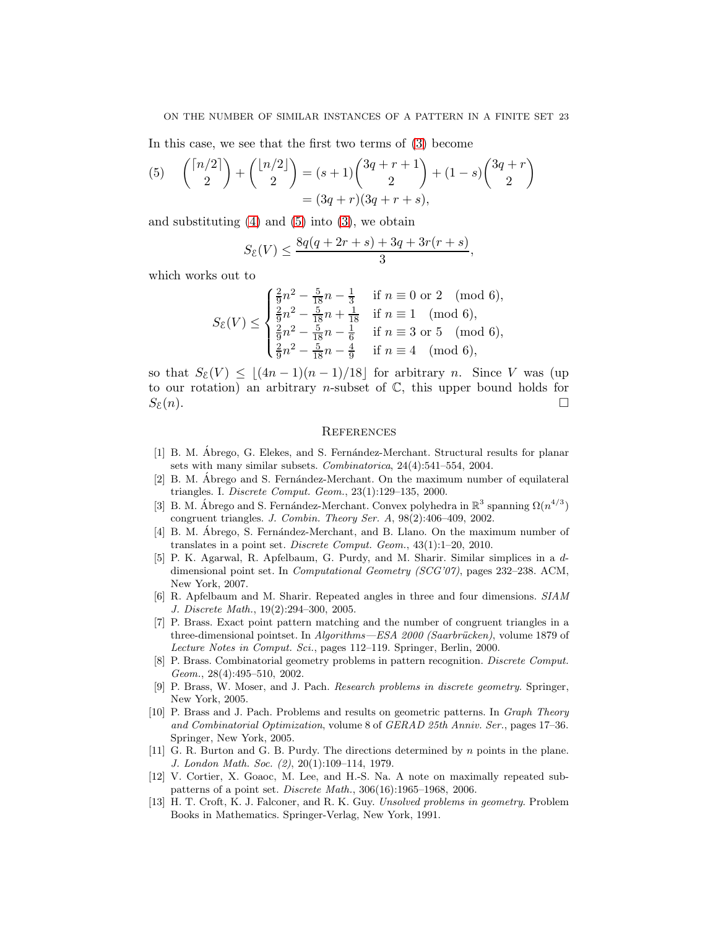### ON THE NUMBER OF SIMILAR INSTANCES OF A PATTERN IN A FINITE SET 23

In this case, we see that the first two terms of [\(3\)](#page-21-1) become

<span id="page-22-13"></span>(5) 
$$
{\binom{\lceil n/2 \rceil}{2}} + {\binom{\lfloor n/2 \rfloor}{2}} = (s+1){\binom{3q+r+1}{2}} + (1-s){\binom{3q+r}{2}} = (3q+r)(3q+r+s),
$$

and substituting  $(4)$  and  $(5)$  into  $(3)$ , we obtain

$$
S_{\mathcal{E}}(V) \le \frac{8q(q + 2r + s) + 3q + 3r(r + s)}{3},
$$

which works out to

$$
S_{\mathcal{E}}(V) \le \begin{cases} \frac{2}{9}n^2 - \frac{5}{18}n - \frac{1}{3} & \text{if } n \equiv 0 \text{ or } 2 \pmod{6},\\ \frac{2}{9}n^2 - \frac{5}{18}n + \frac{1}{18} & \text{if } n \equiv 1 \pmod{6},\\ \frac{2}{9}n^2 - \frac{5}{18}n - \frac{1}{6} & \text{if } n \equiv 3 \text{ or } 5 \pmod{6},\\ \frac{2}{9}n^2 - \frac{5}{18}n - \frac{4}{9} & \text{if } n \equiv 4 \pmod{6}, \end{cases}
$$

so that  $S_{\mathcal{E}}(V) \leq |(4n-1)(n-1)/18|$  for arbitrary n. Since V was (up to our rotation) an arbitrary *n*-subset of  $\mathbb{C}$ , this upper bound holds for  $S_{\mathcal{E}}(n).$ 

# **REFERENCES**

- <span id="page-22-2"></span>[1] B. M. Ábrego, G. Elekes, and S. Fernández-Merchant. Structural results for planar sets with many similar subsets. Combinatorica, 24(4):541–554, 2004.
- <span id="page-22-12"></span> $[2]$  B. M. Ábrego and S. Fernández-Merchant. On the maximum number of equilateral triangles. I. Discrete Comput. Geom., 23(1):129–135, 2000.
- <span id="page-22-3"></span>[3] B. M. Ábrego and S. Fernández-Merchant. Convex polyhedra in  $\mathbb{R}^3$  spanning  $\Omega(n^{4/3})$ congruent triangles. J. Combin. Theory Ser. A, 98(2):406–409, 2002.
- <span id="page-22-4"></span>[4] B. M. Abrego, S. Fernández-Merchant, and B. Llano. On the maximum number of translates in a point set. Discrete Comput. Geom., 43(1):1–20, 2010.
- <span id="page-22-5"></span>[5] P. K. Agarwal, R. Apfelbaum, G. Purdy, and M. Sharir. Similar simplices in a ddimensional point set. In Computational Geometry (SCG'07), pages 232–238. ACM, New York, 2007.
- <span id="page-22-6"></span>[6] R. Apfelbaum and M. Sharir. Repeated angles in three and four dimensions. SIAM J. Discrete Math., 19(2):294–300, 2005.
- <span id="page-22-7"></span>[7] P. Brass. Exact point pattern matching and the number of congruent triangles in a three-dimensional pointset. In  $Algorithms-ESA\ 2000\ (Saarbrücken)$ , volume 1879 of Lecture Notes in Comput. Sci., pages 112–119. Springer, Berlin, 2000.
- <span id="page-22-10"></span>[8] P. Brass. Combinatorial geometry problems in pattern recognition. Discrete Comput. Geom., 28(4):495–510, 2002.
- <span id="page-22-1"></span>[9] P. Brass, W. Moser, and J. Pach. Research problems in discrete geometry. Springer, New York, 2005.
- <span id="page-22-11"></span>[10] P. Brass and J. Pach. Problems and results on geometric patterns. In Graph Theory and Combinatorial Optimization, volume 8 of GERAD 25th Anniv. Ser., pages 17–36. Springer, New York, 2005.
- <span id="page-22-8"></span>[11] G. R. Burton and G. B. Purdy. The directions determined by n points in the plane. J. London Math. Soc. (2), 20(1):109–114, 1979.
- <span id="page-22-9"></span>[12] V. Cortier, X. Goaoc, M. Lee, and H.-S. Na. A note on maximally repeated subpatterns of a point set. Discrete Math., 306(16):1965–1968, 2006.
- <span id="page-22-0"></span>[13] H. T. Croft, K. J. Falconer, and R. K. Guy. Unsolved problems in geometry. Problem Books in Mathematics. Springer-Verlag, New York, 1991.